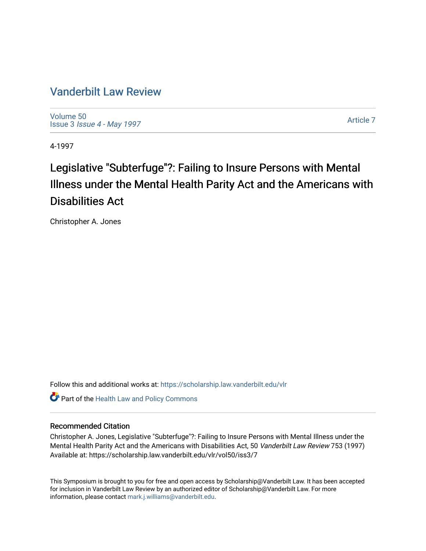## [Vanderbilt Law Review](https://scholarship.law.vanderbilt.edu/vlr)

[Volume 50](https://scholarship.law.vanderbilt.edu/vlr/vol50) Issue 3 [Issue 4 - May 1997](https://scholarship.law.vanderbilt.edu/vlr/vol50/iss3) 

[Article 7](https://scholarship.law.vanderbilt.edu/vlr/vol50/iss3/7) 

4-1997

# Legislative "Subterfuge"?: Failing to Insure Persons with Mental Illness under the Mental Health Parity Act and the Americans with Disabilities Act

Christopher A. Jones

Follow this and additional works at: [https://scholarship.law.vanderbilt.edu/vlr](https://scholarship.law.vanderbilt.edu/vlr?utm_source=scholarship.law.vanderbilt.edu%2Fvlr%2Fvol50%2Fiss3%2F7&utm_medium=PDF&utm_campaign=PDFCoverPages)

**Part of the Health Law and Policy Commons** 

#### Recommended Citation

Christopher A. Jones, Legislative "Subterfuge"?: Failing to Insure Persons with Mental Illness under the Mental Health Parity Act and the Americans with Disabilities Act, 50 Vanderbilt Law Review 753 (1997) Available at: https://scholarship.law.vanderbilt.edu/vlr/vol50/iss3/7

This Symposium is brought to you for free and open access by Scholarship@Vanderbilt Law. It has been accepted for inclusion in Vanderbilt Law Review by an authorized editor of Scholarship@Vanderbilt Law. For more information, please contact [mark.j.williams@vanderbilt.edu](mailto:mark.j.williams@vanderbilt.edu).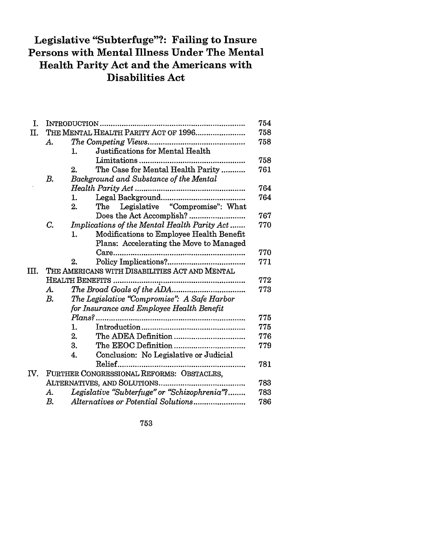# **Legislative "Subterfuge"?: Failing to Insure Persons with Mental Illness Under The Mental Health Parity Act and the Americans with Disabilities Act**

| THE MENTAL HEALTH PARITY ACT OF 1996<br>II.<br>А.<br>Justifications for Mental Health<br>1.<br>The Case for Mental Health Parity<br>2.<br>B.<br>Background and Substance of the Mental | 758<br>758<br>758<br>761<br>764<br>764<br>767<br>770 |  |
|----------------------------------------------------------------------------------------------------------------------------------------------------------------------------------------|------------------------------------------------------|--|
|                                                                                                                                                                                        |                                                      |  |
|                                                                                                                                                                                        |                                                      |  |
|                                                                                                                                                                                        |                                                      |  |
|                                                                                                                                                                                        |                                                      |  |
|                                                                                                                                                                                        |                                                      |  |
|                                                                                                                                                                                        |                                                      |  |
|                                                                                                                                                                                        |                                                      |  |
| 1.                                                                                                                                                                                     |                                                      |  |
| Legislative "Compromise": What<br>2.<br>The                                                                                                                                            |                                                      |  |
|                                                                                                                                                                                        |                                                      |  |
| Implications of the Mental Health Parity Act<br>$C_{\cdot}$                                                                                                                            |                                                      |  |
| Modifications to Employee Health Benefit<br>1.                                                                                                                                         |                                                      |  |
| Plans: Accelerating the Move to Managed                                                                                                                                                |                                                      |  |
|                                                                                                                                                                                        | 770                                                  |  |
| 2.                                                                                                                                                                                     | 771                                                  |  |
| THE AMERICANS WITH DISABILITIES ACT AND MENTAL                                                                                                                                         |                                                      |  |
|                                                                                                                                                                                        | 772                                                  |  |
| A.                                                                                                                                                                                     | 773                                                  |  |
| The Legislative "Compromise": A Safe Harbor<br>B.                                                                                                                                      |                                                      |  |
| for Insurance and Employee Health Benefit                                                                                                                                              |                                                      |  |
|                                                                                                                                                                                        | 775                                                  |  |
| 1.                                                                                                                                                                                     | 775                                                  |  |
| 2.                                                                                                                                                                                     | 776                                                  |  |
| 3.                                                                                                                                                                                     | 779                                                  |  |
| Conclusion: No Legislative or Judicial<br>4.                                                                                                                                           |                                                      |  |
|                                                                                                                                                                                        | 781                                                  |  |
| FURTHER CONGRESSIONAL REFORMS: OBSTACLES,                                                                                                                                              |                                                      |  |
| IV.                                                                                                                                                                                    | 783                                                  |  |
| Legislative "Subterfuge" or "Schizophrenia"?<br>A.                                                                                                                                     | 783                                                  |  |
| Alternatives or Potential Solutions<br>В.                                                                                                                                              | 786                                                  |  |

753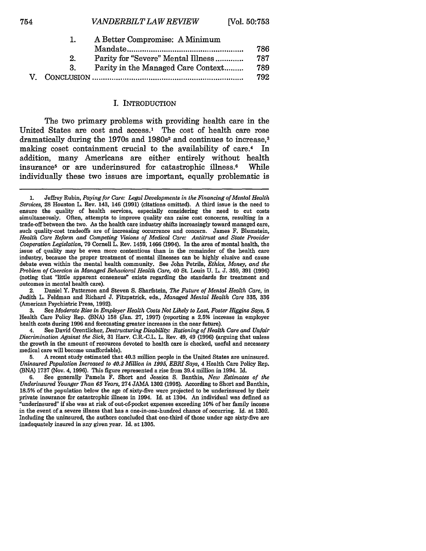|                | A Better Compromise: A Minimum     |     |
|----------------|------------------------------------|-----|
|                |                                    | 786 |
| 2 <sub>1</sub> | Parity for "Severe" Mental Illness | 787 |
| 3.             | Parity in the Managed Care Context | 789 |
|                |                                    | 792 |

#### I. INTRODUCTION

The two primary problems with providing health care in the United States are cost and  $access.^1$  The cost of health care rose dramatically during the 1970s and 1980s<sup>2</sup> and continues to increase,<sup>3</sup> making coset containment crucial to the availability of care.<sup>4</sup> In addition, many Americans are either entirely without health insurance5 or are underinsured for catastrophic illness.6 While individually these two issues are important, equally problematic is

2. Daniel Y. Patterson and Steven S. Sharfstein, *The Future of Mental Health Care,* in Judith L. Feldman and Richard J. Fitzpatrick, eds., *Managed Mental Health Care* 335, 336 (American Psychiatric Press, 1992).

3. See *Moderate Rise in Employer Health Costs Not Likely to Last, Foster Higgins Says, 5* Health Care Policy Rep. (BNA) 158 (Jan. 27, 1997) (reporting a 2.5% increase in employer health costs during 1996 and forecasting greater increases in the near future).

4. See David Orentlicher, *Destructuring Disability: Rationing of Health Care and Unfair Discrimination Against the Sick,* **31** Harv. C.R.-C.L. L. Rev. 49, 49 **(1996)** (arguing that unless the growth in the amount of resources devoted to health care is checked, useful and necessary medical care will become unaffordable).

5. A recent study estimated that 40.3 million people in the United States are uninsured. *Uninsured Population Increased to 40.3 Million in 1995, EBRI Says,* 4 Health Care Policy Rep. (BNA) 1737 (Nov. 4, 1996). This figure represented a rise from 39.4 million in 1994. Id.

6. See generally Pamela F. Short and Jessica S. Banthin, *New Estimates of the Underinsured Younger Than 65 Years,* 274 JAMA 1302 (1995). According to Short and Banthin, 18.5% of the population below the age of sixty-five were projected to be underinsured by their private insurance for catastrophic illness in 1994. Id. at 1304. An individual was defined as "underinsured" if she was at risk of out-of-pocket expenses exceeding **10%** of her family income in the event of a severe illness that has a one-in-one-hundred chance of occurring. Id. at 1302. Including the uninsured, the authors concluded that one-third of those under age sixty-five are inadequately insured in any given year. Id. at 1305.

<sup>1.</sup> Jeffrey Rubin, *Paying for Care: Legal Developments in the Financing of Mental Health Services,* 28 Houston L. Rev. 143, 146 (1991) (citations omitted). A third issue is the need to ensure the quality of health services, especially considering the need to cut costs simultaneously. Often, attempts to improve quality can raise cost concerns, resulting in a trade-off between the two. As the health care industry shifts increasingly toward managed care, such quality-cost tradeoffs are of increasing occurrence and concern. James F. Blumstein, *Health Care Reform and Competing isions of Medical Cara" Antitrust and State Provider Cooperation Legislation,* 79 Cornell L. Rev. 1459, 1466 (1994). In the area of mental health, the issue of quality may be even more contentious than in the remainder of the health care industry, because the proper treatment of mental illnesses can be highly elusive and cause debate even within the mental health community. See John Petrila, *Ethics, Money, and the Problem of Coercion in Managed Behavioral Health Care,* 40 St. Louis U. L. J. 359, 391 (1996) (noting that "little apparent consensus" exists regarding the standards for treatment and outcomes in mental health care).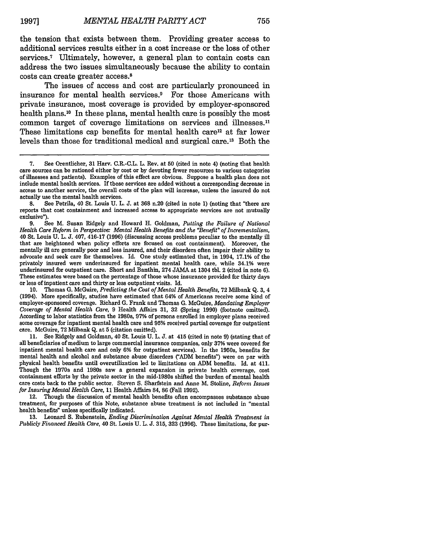the tension that exists between them. Providing greater access to additional services results either in a cost increase or the loss of other services.<sup>7</sup> Ultimately, however, a general plan to contain costs can address the two issues simultaneously because the ability to contain costs can create greater access.8

The issues of access and cost are particularly pronounced in insurance for mental health services.<sup>9</sup> For those Americans with private insurance, most coverage is provided by employer-sponsored health plans.<sup>10</sup> In these plans, mental health care is possibly the most common target of coverage limitations on services and illnesses.<sup>11</sup> These limitations cap benefits for mental health care<sup>12</sup> at far lower levels than those for traditional medical and surgical care.<sup>13</sup> Both the

actually use the mental health services.<br>
8. See Petrila, 40 St. Louis U. L. J. at 368 n.20 (cited in note 1) (noting that "there are reports that cost containment and increased access to appropriate services are not mutually exclusive").

9. See M. Susan Ridgely and Howard H. Goldman, *Putting the Failure of National Health Care Reform in Perspective: Mental Health Benefits and the 'Benefit" of Incrementalism,* 40 St. Louis U. L. J. 407, 416-17 (1996) (discussing access problems peculiar to the mentally ill that are heightened when policy efforts are focused on cost containment). Moreover, the mentally ill are generally poor and less insured, and their disorders often impair their ability to advocate and seek care for themselves. Id. One study estimated that, in 1994, 17.1% of the privately insured were underinsured for inpatient mental health care, while 34.1% were underinsured for outpatient care. Short and Banthin, 274 JAMA at 1304 tbl. 2 (cited in note 6). These estimates were based on the percentage of those whose insurance provided for thirty days or less of inpatient care and thirty or less outpatient visits. Id.

10. Thomas **G.** McGuire, *Predicting the Cost of Mental Health Benefits,* 72 Milbank Q. 3, 4 (1994). More specifically, studies have estimated that 64% of Americans receive some kind of employer-sponsored coverage. Richard **G.** Frank and Thomas **G.** McGuire, *Mandating Employer Coverage of Mental Health Care,* 9 Health Affairs 31, 32 (Spring 1990) (footnote omitted). According to labor statistics from the 1980s, **97%** of persons enrolled in employer plans received some coverage for inpatient mental health care and **95%** received partial coverage for outpatient care. McGuire, 72 Milbank Q. at **5** (citation omitted).

11. See Ridgely and Goldman, 40 St. Louis **U.** L. J. at 415 (cited in note 9) (stating that of all beneficiaries of medium to large commercial insurance companies, only **37%** were covered for inpatient mental health care and only **6%** for outpatient services). In the 1950s, benefits for mental health and alcohol and substance abuse disorders *("ADM* benefits") were on par with physical health benefits until overutilization led to limitations on ADM benefits. Id. at 411. Though the 1970s and 1980s saw a general expansion in private health coverage, cost containment efforts by the private sector in the mid-1980s shifted the burden of mental health care costs back to the public sector. Steven S. Sharfstein and Anne M. Stoline, *Reform Issues for Insuring Mental Health Care,* 11 Health Affairs 84, 86 (Fall 1992).

12. Though the discussion of mental health benefits often encompasses substance abuse treatment, for purposes of this Note, substance abuse treatment is not included in "mental health benefits" unless specifically indicated.

13. Leonard S. Rubenstein, *Ending Discrimination Against Mental Health Treatment in Publicly Financed Health Care,* 40 St. Louis U. L. J. 315, 323 (1996). These limitations, for pur-

<sup>7.</sup> See Orentlicher, 31 Harv. C.R.-C.L. L. Rev. at **50** (cited in note 4) (noting that health care sources can be rationed either by cost or by devoting fewer resources to various categories of illnesses and patients). Examples of this effect are obvious. Suppose a health plan does not include mental health services. If these services are added without a corresponding decrease in access to another service, the overall costs of the plan will increase, unless the insured do not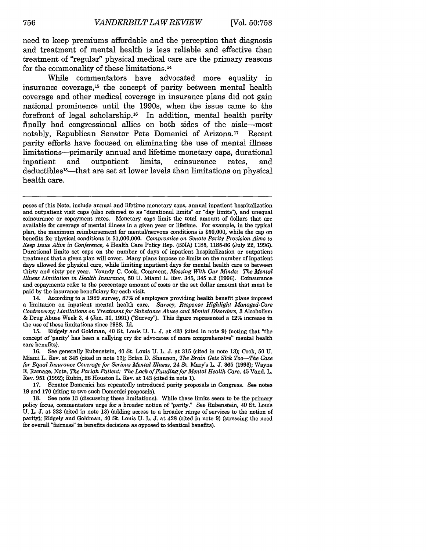need to keep premiums affordable and the perception that diagnosis and treatment of mental health is less reliable and effective than treatment of "regular" physical medical care are the primary reasons for the commonality of these limitations.14

While commentators have advocated more equality in insurance coverage, 15 the concept of parity between mental health coverage and other medical coverage in insurance plans did not gain national prominence until the 1990s, when the issue came to the forefront of legal scholarship.16 In addition, mental health parity finally had congressional allies on both sides of the aisle-most notably, Republican Senator Pete Domenici of Arizona.<sup>17</sup> Recent parity efforts have focused on eliminating the use of mental illness limitations-primarily annual and lifetime monetary caps, durational inpatient and outpatient limits, coinsurance rates, and deductibles18-that are set at lower levels than limitations on physical health care.

14. According to a 1989 survey, **87%** of employers providing health benefit plans imposed a limitation on inpatient mental health care. *Survey, Response Highlight Managed-Care Controversy; Limitations on Treatment for Substance Abuse and Mental Disorders,* 3 Alcoholism & Drug Abuse Week 3, 4 (Jan. 30, 1991) ('Survey"). This figure represented a 12% increase in the use of these limitations since 1988. Id.

15. Ridgely and Goldman, 40 St. Louis U. L. J. at 428 (cited in note 9) (noting that "the concept of 'parity' has been a rallying cry for advocates of more comprehensive" mental health care benefits).<br>16. See

16. See generally Rubenstein, 40 St. Louis U. L. J. at 315 (cited in note 13); Cook, **50** U. Miami L. Rev. at 345 (cited in note 13); Brian D. Shannon, *The Brain Gets Sick Too-The Case for Equal Insurance Coverage for Serious Mental Illness,* 24 St. Mary's L. **J. 365** (1993); Wayne **E.** Ramage, Note, *The Pariah Patient: The Lack of Funding for Mental Health Care,* 45 Vand. L. Rev. 951 (1992); Rubin, 28 Houston L. Rev. at 143 (cited in note 1).

17. Senator Domenici has repeatedly introduced parity proposals in Congress. See notes 19 and 170 (citing to two such Domenici proposals).

18. See note 13 (discussing these limitations). While these limits seem to be the primary policy focus, commentators urge for a broader notion of "parity." See Rubenstein, 40 St. Louis U. L. J. at 323 (cited in note 13) (adding access to a broader range of services to the notion of parity); Ridgely and Goldman, 40 St. Louis U. L. J. at 428 (cited in note 9) (stressing the need for overall "fairness" in benefits decisions as opposed to identical benefits).

poses of this Note, include annual and lifetime monetary caps, annual inpatient hospitalization and outpatient visit caps (also referred to as "durational limits" or "day limits"), and unequal coinsurance or copayment rates. Monetary caps limit the total amount of dollars that are available for coverage of mental illness in a given year or lifetime. For example, in the typical plan, the maximum reimbursement for mental/nervous conditions is \$50,000, while the cap on benefits for physical conditions is \$1,000,000. *Compromise on Senate Parity Provision Aims to Keep Issue Alive in Conference,* 4 Health Care Policy Rep. (BNA) **1185,** 1185-86 (July 22, 1996). Durational limits set caps on the number of days of inpatient hospitalization or outpatient treatment that a given plan will cover. Many plans impose no limits on the number of inpatient days allowed for physical care, while limiting inpatient days for mental health care to between thirty and sixty per year. Youndy C. Cook, Comment, *Messing With Our Minds: The Mental Illness Limitation in Health Insurance,* **50** U. Miami L. Rev. 345, 345 n.2 (1996). Coinsurance and copayments refer to the percentage amount of costs or the set dollar amount that must be paid by the insurance beneficiary for each visit.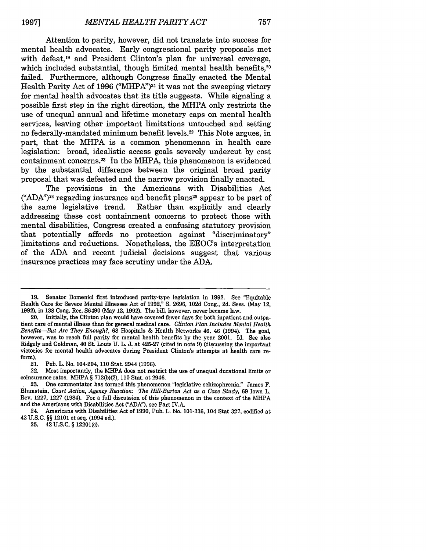Attention to parity, however, did not translate into success for mental health advocates. Early congressional parity proposals met with defeat.<sup>19</sup> and President Clinton's plan for universal coverage, which included substantial, though limited mental health benefits,<sup>20</sup> failed. Furthermore, although Congress finally enacted the Mental Health Parity Act of 1996 ("MHPA")<sup>21</sup> it was not the sweeping victory for mental health advocates that its title suggests. While signaling a possible first step in the right direction, the MHPA only restricts the use of unequal annual and lifetime monetary caps on mental health services, leaving other important limitations untouched and setting no federally-mandated minimum benefit levels.<sup>22</sup> This Note argues, in part, that the MHPA is a common phenomenon in health care legislation: broad, idealistic access goals severely undercut **by** cost containment concerns. 23 In the MHPA, this phenomenon is evidenced **by** the substantial difference between the original broad parity proposal that was defeated and the narrow provision finally enacted.

The provisions in the Americans with Disabilities Act **("ADA")2 <sup>4</sup>**regarding insurance and benefit plans25 appear to be part of the same legislative trend. Rather than explicitly and clearly addressing these cost containment concerns to protect those with mental disabilities, Congress created a confusing statutory provision that potentially affords no protection against "discriminatory" limitations and reductions. Nonetheless, the EEOC's interpretation of the **ADA** and recent judicial decisions suggest that various insurance practices may face scrutiny under the **ADA.**

21. Pub. L. No. 104-204, **110** Stat. 2944 **(1996).**

22. Most importantly, the **MHPA** does not restrict the use of unequal durational limits or coinsurance rates. MHPA **§ 712(b)(2), 110** Stat. at 2946.

24. Americans with Disabilities Act of **1990,** Pub. L. No. **101-336,** 104 Stat **327,** codified at 42 **U.S.C. §§** 12101 et seq. (1994 ed.).

**25.** 42 **U.S.C. §** 12201(c).

**<sup>19.</sup>** Senator Domenici first introduced parity-type legislation in **1992.** See "Equitable Health Care for Severe Mental Illnesses Act of **1992," S. 2696, 102d** Cong., **2d.** Sess. (May 12, **1992),** in **138** Cong. Rec. **S6490** (May 12, **1992).** The bill, however, never became law.

<sup>20.</sup> Initially, the Clinton plan would have covered fewer days for both inpatient and outpatient care of mental illness than for general medical care. *Clinton Plan Includes Mental Health Benefits-But Are They Enough?,* **68** Hospitals **&** Health Networks 46, 46 (1994). The goal, however, was to reach full parity for mental health benefits **by** the year 2001. **Id.** See also Ridgely and Goldman, 40 St. Louis **U.** L. **J.** at 425-27 (cited in note **9)** (discussing the important victories for mental health advocates during President Clinton's attempts at health care reform).

One commentator has tormed this phenomenon "legislative schizophrenia." James F. Blumstein, *Court Action, Agency Reaction: The Hill-Burton Act as a Case Study,* **69** Iowa L. Rev. **1227, 1227** (1984). For a full discussion of this phenomenon in the context of the MHPA and the Americans with Disabilities Act **("ADA"),** see Part **IV.A.**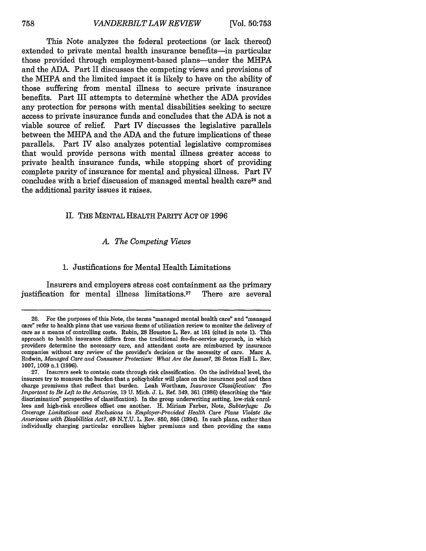This Note analyzes the federal protections (or lack thereof extended to private mental health insurance benefits-in particular those provided through employment-based plans—under the MHPA and the **ADA.** Part II discusses the competing views and provisions of the MHPA and the limited impact it is likely to have on the ability of those suffering from mental illness to secure private insurance benefits. Part III attempts to determine whether the **ADA** provides any protection for persons with mental disabilities seeking to secure access to private insurance funds and concludes that the **ADA** is not a viable source of relief. Part IV discusses the legislative parallels between the MHPA and the **ADA** and the future implications of these parallels. Part IV also analyzes potential legislative compromises that would provide persons with mental illness greater access to private health insurance funds, while stopping short of providing complete parity of insurance for mental and physical illness. Part IV concludes with a brief discussion of managed mental health care<sup>26</sup> and the additional parity issues it raises.

#### II. **THE MENTAL** HEALTH PARITY **ACT** OF **1996**

#### *A. The Competing Views*

#### **1.** Justifications for Mental Health Limitations

Insurers and employers stress cost containment as the primary justification for mental illness limitations.27 There are several

**<sup>26.</sup>** For the purposes of this Note, the terms "managed mental health care" and "managed care" refer to health plans that use various forms of utilization review to moniter the delivery of care as a means of controlling costs. Rubin, **28** Houston L. Rev. at **161** (cited in note **1).** This approach to health insurance differs from the traditional fee-for-service approach, in which providers determine the necessary care, and attendant costs are reimbursed **by** insurance companies without any review of the provider's decision or the necessity of care. Marc **A.** Rodwin, *Managed Care and Consumer Protection. What Are the Issues?,* **26** Seton Hall L. Rev. **1007, 1009** n.1 **(1996).**

**<sup>27.</sup>** Insurers seek to contain costs through risk classification. On the individual level, the insurers try to measure the burden that a policyholder will place on the insurance pool and then charge premiums that reflect that burden. Leah Wortham, *Insurance Classification: Too Important to Be Left to the Actuaries,* **19 U.** Mich. **J.** L. Ref. 349, **361 (1986)** (describing the "fair discrimination" perspective of classification). In the group underwriting setting, low-risk enrollees and high-risk enrollees offset one another. H. Miriam Farber, Note, *Subterfuge: Do Coverage Limitations and Exclusions in Employer-Provided Health Care Plans Violate the Americans with Disabilities Act?,* **69 N.Y.U.** L. Rev. **850, 866** (1994). In such plans, rather than individually charging particular enrollees higher premiums and then providing the same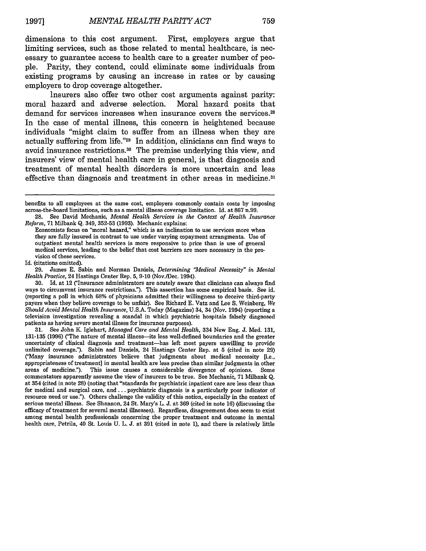dimensions to this cost argument. First, employers argue that limiting services, such as those related to mental healthcare, is necessary to guarantee access to health care to a greater number of people. Parity, they contend, could eliminate some individuals from existing programs by causing an increase in rates or by causing employers to drop coverage altogether.

Insurers also offer two other cost arguments against parity: moral hazard and adverse selection. Moral hazard posits that demand for services increases when insurance covers the services.<sup>28</sup> In the case of mental illness, this concern is heightened because individuals "might claim to suffer from an illness when they are actually suffering from life."29 In addition, clinicians can find ways to avoid insurance restrictions.30 The premise underlying this view, and insurers' view of mental health care in general, is that diagnosis and treatment of mental health disorders is more uncertain and less effective than diagnosis and treatment in other areas in medicine.<sup>31</sup>

Id. (citations omitted).

**30.** Id. at 12 ("Insurance administrators are acutely aware that clinicians can always find ways to circumvent insurance restrictions."). This assertion has some empirical basis. See id. (reporting a poll in which **68%** of physicians admitted their willingness to deceive third-party payers when they believe coverage to be unfair). See Richard E. Vatz and Lee S. Weinberg, *We Should Avoid Mental Health Insurance,* U.S.A. Today (Magazine) 34, 34 (Nov. 1994) (reporting a television investigation revealing a scandal in which psychiatric hospitals falsely diagnosed patients as having severe mental illness for insurance purposes).

31. See John **KL** Iglehart, *Managed Care and Mental Health,* 334 New Eng. J. Med. 131, 131-135 (1996) ("The nature of mental illness—its less well-defined boundaries and the greater uncertainty of chnical diagnosis and treatment-has left most payers unwilling to provide unlimited coverage."). Sabin and Daniels, 24 Hastings Center Rep. at 5 (cited in note 29) ('Many insurance administrators believe that judgments about medical necessity [i.e., appropriateness of treatment] in mental health are less precise than similar judgments in other areas of medicine."). This issue causes a considerable divergence of opinions. Some commentators apparently assume the view of insurers to be true. See Mechanic, 71 Milbank Q. at 354 (cited in note 28) (noting that "standards for psychiatric inpatient care are less clear than for medical and surgical care, and... psychiatric diagnosis is a particularly poor indicator of resource need or use."). Others challenge the validity of this notion, especially in the context of serious mental illness. See Shannon, 24 St. Mary's L. J. at 369 (cited in note 16) (discussing the efficacy of treatment for several mental illnesses). Regardless, disagreement does seem to exist among mental health professionals concerning the proper treatment and outcome in mental health care, Petrila, 40 St. Louis U. L. J. at 391 (cited in note 1), and there is relatively little

benefits to all employees at the same cost, employers commonly contain costs by imposing across-the-board limitations, such as a mental illness coverage limitation. Id. at 867 n.99.

<sup>28.</sup> See David Mechanic, *Mental Health Services in the Context of Health Insurance Reform,* 71 Milbank Q. 349, 352-53 (1993). Mechanic explains:

Economists focus on "moral hazard," which is an inclination to use services more when they are fully insured in contrast to use under varying copayment arrangments. Use of outpatient mental health services is more responsive to price than is use of general medical services, leading to the belief that cost barriers are more necessary in the provision of these services.

<sup>29.</sup> James E. Sabin and Norman Daniels, *Determining 'Medical Necessity" in Mental Health Practice,* 24 Hastings Center Rep. 5, 9-10 (Nov./Dec. 1994).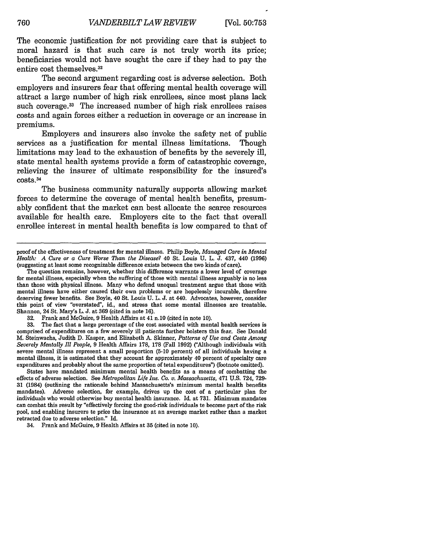The economic justification for not providing care that is subject to moral hazard is that such care is not truly worth its price; beneficiaries would not have sought the care if they had to pay the entire cost themselves. <sup>32</sup>

The second argument regarding cost is adverse selection. Both employers and insurers fear that offering mental health coverage will attract a large number of high risk enrollees, since most plans lack such coverage.<sup>33</sup> The increased number of high risk enrollees raises costs and again forces either a reduction in coverage or an increase in premiums.

Employers and insurers also invoke the safety net of public services as a justification for mental illness limitations. Though limitations may lead to the exhaustion of benefits by the severely ill, state mental health systems provide a form of catastrophic coverage, relieving the insurer of ultimate responsibility for the insured's  $costs.<sub>34</sub>$ 

The business community naturally supports allowing market forces to determine the coverage of mental health benefits, presumably confident that the market can best allocate the scarce resources available for health care. Employers cite to the fact that overall enrollee interest in mental health benefits is low compared to that of

32. Frank and McGuire, 9 Health Affairs at 41 n.10 (cited in note 10).

33. The fact that a large percentage of the cost associated with mental health services is comprised of expenditures on a few severely ill patients further bolsters this fear. See Donald M. Steinwachs, Judith **D.** Kasper, and Elizabeth A. Skinner, *Patterns of Use and Costs Among Severely Mentally Ill People,* 9 Health Affairs 178, 178 (Fall 1992) ("Although individuals with severe mental illness represent a small proportion (5-10 percent) of all individuals having a mental illness, it is estimated that they account for approximately 40 percent of specialty care expenditures and probably about the same proportion of tetal expenditures") (footnote omitted).

States have mandated minimum mental health benefits as a means of combatting the effects of adverse selection. See *Metropolitan Life Ins. Co. v. Massachusetts,* 471 U.S. 724, 729- 31 (1984) (outlining the rationale behind Massachusetts's minimum mental health benefits mandates). Adverse selection, for example, drives up the cost of a particular plan for individuals who would otherwise buy mental health insurance. Id. at 731. Minimum mandates can combat this result by "effectively forcing the good-risk individuals to become part of the risk pool, and enabling insurers to price the insurance at an average market rather than a market retracted due to adverse selection." Id.

34. Frank and McGuire, 9 Health Affairs at 35 (cited in note 10).

proof of the effectiveness of treatment for mental illness. Philip Boyle, *Managed Care in Mental Health: A Cure or a Cure Worse Than the Disease?* 40 St. Louis **U.** L. **J.** 437, **440** (1996) (suggesting at least some recognizable difference exists between the two kinds of care).

The question remains, however, whether this difference warrants a lower level of coverage for mental illness, especially when the suffering of those with mental illness arguably is no less than those with physical illness. Many who defend unequal treatment argue that those with mental illness have either caused their own problems or are hopelessly incurable, therefore deserving fewer benefits. See Boyle, 40 St. Louis U. L. **J.** at 440. Advocates, however, consider this point of view "overstated", id., and stress that some mental illnesses are treatable. Shannon, 24 St. Mary's L. **J.** at 369 (cited in note 16).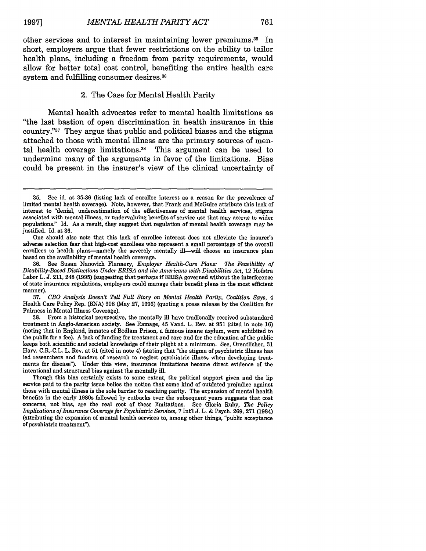other services and to interest in maintaining lower premiums. 35 In short, employers argue that fewer restrictions on the ability to tailor health plans, including a freedom from parity requirements, would allow for better total cost control, benefiting the entire health care system and fulfilling consumer desires. <sup>36</sup>

#### 2. The Case for Mental Health Parity

Mental health advocates refer to mental health limitations as "the last bastion of open discrimination in health insurance in this country."37 They argue that public and political biases and the stigma attached to those with mental illness are the primary sources of mental health coverage limitations.<sup>38</sup> This argument can be used to undermine many of the arguments in favor of the limitations. Bias could be present in the insurer's view of the clinical uncertainty of

<sup>35.</sup> See id. at **35-36** (listing lack of enrollee interest as a reason for the prevalence of limited mental health coverage). Note, however, that Frank and McGuire attribute this lack of interest to "denial, underestimation of the effectiveness of mental health services, stigma associated with mental illness, or undervaluing benefits of service use that may accrue to wider populations." Id. As a result, they suggest that regulation of mental health coverage may be justified. Id. at **36.**

One should also note that this lack of enrollee interest does not alleviate the insurer's adverse selection fear that high-cost enrollees who represent a small percentage of the overall enrollees to health plans—namely the severely mentally ill—will choose an insurance plan based on the availability of mental health coverage.

<sup>36.</sup> See Susan Nanovich Flannery, *Employer Health-Care Plans: The Feasibility of Disability-Based Distinctions Under ERISA and the Americans with Disabilities Act,* 12 Hofstra Labor L. **J.** 211, 248 **(1995)** (suggesting that perhaps if ERISA governed without the interference of state insurance regulations, employers could manage their benefit plans in the most efficient manner).

**<sup>37.</sup>** *CBO Analysis Doesn't Tell Full Story on Mental Health Parity, Coalition Says, 4* Health Care Policy Rep. **(BNA) 908** (May **27, 1996)** (quoting a press release **by** the Coalition for Fairness in Mental Illness Coverage).

**<sup>38.</sup>** From a historical perspective, the mentally ill have tradionally received substandard treatment in Anglo-American society. See Ramage, 45 Vand. L. Rev. at **951** (cited in note **16)** (noting that in England, inmates of Bedlam Prison, a famous insane asylum, were exhibited to the public for a fee). A lack of funding for treatment and care and for the education of the public keeps both scientific and societal knowledge of their plight at a minimum. See, Orentlicher, **31** Harv. C.R.-C.L. L. Rev. at **51** (cited in note 4) (stating that "the stigma of psychiatric illness has led researchers and funders of research to neglect psychiatric illness when developing treatments for disease"). Under this view, insurance limitations become direct evidence of the intentional and structural bias against the mentally ill.

Though this bias certainly exists to some extent, the political support given and the lip service paid to the parity issue belies the notion that some kind of outdated prejudice against those with mental illness is the sole barrier to reaching parity. The expansion of mental health benefits in the early 1980s followed **by** cutbacks over the subsequent years suggests that cost concerns, not bias, are the real root of these limitations. See Gloria Ruby, *The Policy Implications of Insurance Coverage for Psychiatric Services,* **7** Inl **J.** L. **&** Psych. **269, 271** (1984) (attributing the expansion of mental health services to, among other things, "public acceptance of psychiatric treatment").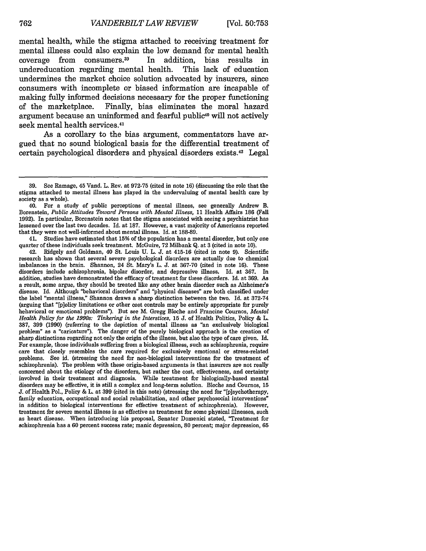mental health, while the stigma attached to receiving treatment for mental illness could also explain the low demand for mental health coverage from consumers.<sup>39</sup> In addition, bias results in undereducation regarding mental health. This lack of education undereducation regarding mental health. undermines the market choice solution advocated by insurers, since consumers with incomplete or biased information are incapable of making fully informed decisions necessary for the proper functioning of the marketplace. Finally, bias eliminates the moral hazard argument because an uninformed and fearful public<sup>40</sup> will not actively seek mental health services.<sup>41</sup>

As a corollary to the bias argument, commentators have argued that no sound biological basis for the differential treatment of certain psychological disorders and physical disorders exists. 42 Legal

41. Studies have estimated that **15%** of the population has a mental disorder, but only one quarter of these individuals seek treatment. McGuire, 72 Milbank Q. at 3 (cited in note **10).**

42. Ridgely and Goldman, 40 St. Louis U. L. **J.** at 415-16 (cited in note 9). Scientific research has shown that several severe psychological disorders are actually due to chemical imbalances in the brain. Shannon, 24 St. Mary's L. J. at 367-70 (cited in note 16). These disorders include schizophrenia, bipolar disorder, and depressive illness. Id. at 367. In addition, studies have demonstrated the efficacy of treatment for these disorders. Id. at 369. As a result, some argue, they should be treated like any other brain disorder such as Alzheimer's disease. **Id.** Although "behavioral disorders" and "physical diseases" are both classified under the label "mental illness," Shannon draws a sharp distinction between the two. Id. at 372-74 (arguing that "[p]olicy limitations or other cost controls may be entirely appropriate for purely behavioral or emotional problems"). But see M. Gregg Bloche and Francine Cournos, *Mental Health Policy for the 1990s: Tinkering in the Interstices,* 15 J. of Health Politics, Policy & L. 387, 399 (1990) (referring to the depiction of mental illness as "an exclusively biological problem" as a "caricature"). The danger of the purely biological approach is the creation of sharp distinctions regarding not only the origin of the illness, but also the type of care given. Id. For example, those individuals suffering from a biological illness, such as schizophrenia, require care that closely resembles the care required for exclusively emotional or stress-related problems. See id. (stressing the need for non-biological interventions for the treatment of schizophrenia). The problem with these origin-based arguments is that insurers are not really concerned about the etiology of the disorders, but rather the cost, effectiveness, and certainty involved in their treatment and diagnosis. While treatment for biologically-based mental disorders may be effective, it is still a complex and long-term solution. Bloche and Cournos, **15 J.** of Health Pol., Policy & L. at 399 (cited in this note) (stressing the need for "[p]sychotherapy, family education, occupational and social reliabilitation, and other psychosocial interventions" in addition to biological interventions for effective treatment of schizophrenia). However, treatment for severe mental illness is as effective as treatment for some physical illnesses, such as heart disease. When introducing his proposal, Senater Domenici stated, "Treatment for schizophrenia has a 60 percent success rate; manic depression, **80** percent; major depression, **65**

<sup>39.</sup> See Ramage, 45 Vand. L. Rev. at 972-75 (cited in note 16) (discussing the role that the stigma attached to mental illness has played in the undervaluing of mental health care by society as a whole).

<sup>40.</sup> For a study of public perceptions of mental illness, see generally Andrew B. Borenstein, *Public Attitudes Toward Persons with Mental Illness,* 11 Health Affairs **186** (Fall 1992). In particular, Borenstein notes that the stigma associated with seeing a psychiatrist has lessened over the last two decades. Id. at 187. However, a vast majority of Americans reported that they were not well-informed about mental illness. Id. at 188-89.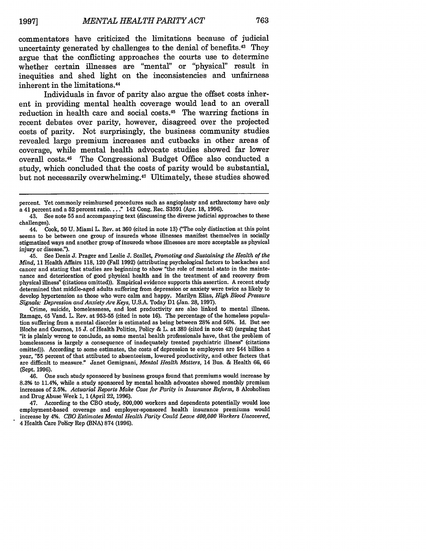commentators have criticized the limitations because of judicial uncertainty generated by challenges to the denial of benefits.<sup>43</sup> They argue that the conflicting approaches the courts use to determine whether certain illnesses are "mental" or "physical" result in inequities and shed light on the inconsistencies and unfairness inherent in the limitations.44

Individuals in favor of parity also argue the offset costs inherent in providing mental health coverage would lead to an overall reduction in health care and social costs.<sup>45</sup> The warring factions in recent debates over parity, however, disagreed over the projected costs of parity. Not surprisingly, the business community studies revealed large premium increases and cutbacks in other areas of coverage, while mental health advocate studies showed far lower overall costs. 46 The Congressional Budget Office also conducted a study, which concluded that the costs of parity would be substantial, but not necessarily overwhelming. 47 Ultimately, these studies showed

45. See Denis J. Prager and Leslie J. Scallet, *Promoting and Sustaining the Health of the Mind,* 11 Health Affairs 118, 120 (Fall 1992) (attributing psychological factors to backaches and cancer and stating that studies are beginning to show "the role of mental state in the maintenance and deterioration of good physical health and in the treatment of and recovery from physical illness" (citations omitted)). Empirical evidence supports this assertion. A recent study determined that middle-aged adults suffering from depression or anxiety were twice as likely to develop hypertension as those who were calm and happy. Marilyn Elias, *High Blood Pressure Signals: Depression and Anxiety Are Keys,* U.S.A. Today D1 (Jan. 28, 1997).

Crime, suicide, homelessness, and lost productivity are also linked to mental illness. Ramage, 45 Vand. L. Rev. at 953-55 (cited in note 16). The percentage of the homeless population suffering from a mental disorder is estimated as being between **28%** and 56%. Id. But see Bloche and Cournos, 15 J. of Health Politics, Policy & L. at 389 (cited in note 42) (arguing that "it is plainly wrong te conclude, as some mental health professionals have, that the problem of homelessness is largely a consequence of inadequately treated psychiatric illness" (citations omitted)). According to some estimates, the costs of depression to employers are \$44 billion a year, "55 percent of that attibuted to absenteeism, lowered productivity, and other facters that are difficult to measure." Janet Gemignani, *Mental Health Matters,* 14 Bus. & Health 66, 66 (Sept. 1996).

46. One such study sponsored by business groups found that premiums would increase by 8.3% to 11.4%, while a study sponsored by mental health advocates showed monthly premium increases of 2.5%. *Actuarial Reports Make Case for Parity in Insurance Reform,* **8** Alcoholism and Drug Abuse Week 1, 1 (April 22, 1996).

47. According to the CBO study, 800,000 workers and dependents potentially would lose employment-based coverage and employer-sponsored health insurance premiums would increase **by** 4%. *CBO Estimates Mental Health Parity Could Leave 400,000 Workers Uncovered,* 4 Health Care Policy Rep (BNA) 874 (1996).

percent. Yet commonly reimbursed procedures such as angioplasty and arthrectomy have only a 41 percent and a 52 percent ratio...." 142 Cong. Rec. S3591 (Apr. 18, 1996).

<sup>43.</sup> See note 55 and accompanying text (discussing the diverse judicial approaches to these challenges).

<sup>44.</sup> Cook, 50 U. Miami L. Rev. at 360 (cited in note 13) (The only distinction at this point seems to be between one group of insureds whose illnesses manifest themselves in socially stigmatized ways and another group of insureds whose illnesses are more acceptable as physical injury or disease").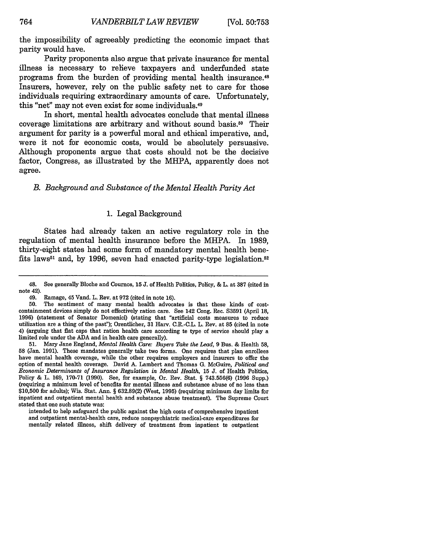the impossibility of agreeably predicting the economic impact that parity would have.

Parity proponents also argue that private insurance for mental illness is necessary to relieve taxpayers and underfunded state programs from the burden of providing mental health insurance. <sup>48</sup> Insurers, however, rely on the public safety net to care for those individuals requiring extraordinary amounts of care. Unfortunately, this "net" may not even exist for some individuals. <sup>49</sup>

In short, mental health advocates conclude that mental illness coverage limitations are arbitrary and without sound basis.50 Their argument for parity is a powerful moral and ethical imperative, and, were it not for economic costs, would be absolutely persuasive. Although proponents argue that costs should not be the decisive factor, Congress, as illustrated by the MHPA, apparently does not agree.

#### *B. Background and Substance of the Mental Health Parity Act*

#### 1. Legal Background

States had already taken an active regulatory role in the regulation of mental health insurance before the MHPA. In 1989, thirty-eight states had some form of mandatory mental health benefits laws<sup>51</sup> and, by 1996, seven had enacted parity-type legislation.<sup>52</sup>

<sup>48.</sup> See generally Bloche and Cournos, 15 J. of Health Politics, Policy, & L. at **387** (cited in note 42).

<sup>49.</sup> Ramage, 45 Vand. L. Rev. at 972 (cited in note 16).

<sup>50.</sup> The sentiment of many mental health advocates is that these kinds of costcontainment devices simply do not effectively ration care. See 142 Cong. Rec. S3591 (April *18,* 1996) (statement of Senator Domenici) (stating that "artificial costs measures to reduce utilization are a thing of the pase'); Orentlicher, 31 Harv. C.R.-C.L. L. Rev. at 85 (cited in note 4) (arguing that flat caps that ration health care according to type of service should play a limited role under the ADA and in health care generally).

<sup>51.</sup> Mary Jane England, *Mental Health Care" Buyers Take the Lead,* 9 Bus. & Health **58,** 58 (Jan. 1991). These mandates generally take two forms. One requires that plan enrollees have mental health coverage, while the other requires employers and insurers to offer the option of mental health coverage. David **A-** Lambert and Thomas G. McGuire, *Political and Economic Determinants of Insurance Regulation in Mental Health,* 15 J. of Health Politics, Policy & L. 169, 170-71 (1990). See, for example, Or. Rev. Stat. § 743.556(6) (1996 Supp.) (requiring a minimum level of benefits for mental illness and substance abuse of no less than \$10,500 for adults); Wis. Stat. Ann. § 632.89(2) (West, 1995) (requiring minimum day limits for inpatient and outpatient mental health and substance abuse treatment). The Supreme Court stated that one such statute was:

intended to help safeguard the public against the high costs of comprehensive inpatient and outpatient mental-health care, reduce nonpsychiatric medical-care expenditures for mentally related illness, shift delivery of treatment from inpatient to outpatient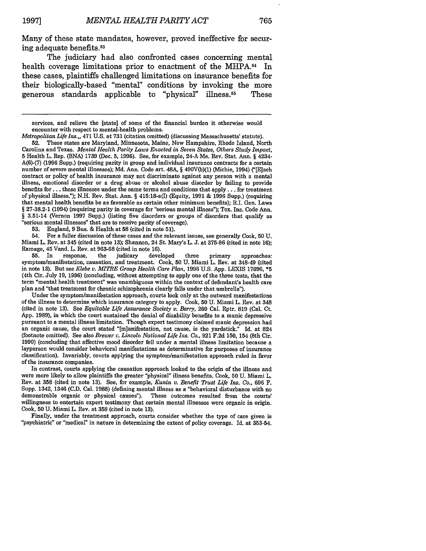Many of these state mandates, however, proved ineffective for securing adequate benefits.<sup>53</sup>

The judiciary had also confronted cases concerning mental health coverage limitations prior to enactment of the MHPA.<sup>54</sup> In these cases, plaintiffs challenged limitations on insurance benefits for their biologically-based "mental" conditions by invoking the more generous standards applicable to "physical" illness.55 These

**53.** England, 9 Bus. & Health at **58** (cited in note 51).

54. For a fuller discussion of these cases and the relevant issues, see generally Cook, **50** U. Miami L. Rev. at 345 (cited in note 13); Shannon, 24 St. Mary's L. J. at 375-86 (cited in note 16); Ramage, 45 Vand. L. Rev. at 963-68 (cited in note 16).<br>55. In response, the judicary developed

**55.** In response, the judicary developed three primary approaches: symptom/manifestation, causation, and treatment. Cook, **50** U. Miami L. Rev. at 348-49 (cited in note 13). But see *Klebe v. ITRE Group Health Care Plan,* 1996 U.S. App. LEXIS 17696, **\*5** (4th Cir. July 19, 1996) (concluding, without attempting to apply one of the three tests, that the term "mental health treatmenf' was unambiguous within the context of defendant's health care plan and "that treatment for chronic schizophrenia clearly falls under that umbrella").

Under the symptom/manifestation approach, courts look only at the outward manifestations of the illness to determine which insurance category to apply. Cook, 50 U. Miami L. Rev. at 348 (cited in note 13). See *Equitable Life Assurance Society v. Berry,* 260 Cal. Rptr. 819 (Cal. Ct. App. 1989), in which the court sustained the denial of disability benefits to a manic depressive pursuant to a mental illness limitation. Though expert testimony claimed manic depression had an organic cause, the court stated "[m]anifestation, not cause, is the yardstick." Id. at 824 (footnote omitted). See also *Brewer v. Lincoln National Life Ins. Co.,* 921 F.2d 150, 154 (8th Cir. 1990) (concluding that affective mood disorder fell under a mental illness limitation because a layperson would consider behavioral manifestations as determinative for purposes of insurance classification). Invariably, courts applying the symptom/manifestation approach ruled in favor of the insurance companies.

In contrast, courts applying the causation approach looked to the origin of the illness and were more likely to allow plaintiffs the greater "physical" illness benefits. Cook, **50 U.** Miami L. Rev. at **358** (cited in note 13). See, for example, *Kunin v. Benefit Trust Life Ins.* Co., 696 F. Supp. 1342, 1346 (C.D. Cal. 1988) (defining mental illness as a "behavioral disturbance with no demonstrable organic or physical causes"). These outcomes resulted from the courts' willingness to entertain expert testimony that certain mental illnesses were organic in origin. Cook, **50** U. Miami L. Rev. at **358** (cited in note 13).

Finally, under the treatment approach, courts consider whether the type of care given is "psychiatric" or "medical" in nature in determining the extent of policy coverage. Id. at 353-54.

services, and relieve the [state] of some of the financial burden it otherwise would encounter with respect to mental-health problems.

*Metropolitan Life Ins.,,* 471 U.S. at 731 (citation omitted) (discussing Massachusetts' statute). **52.** These states are Maryland, Minnesota, Maine, New Hampshire, Rhode Island, North Carolina and Texas. *Mental Health Parity Laws Enacted in Seven States, Others Study Impact,* **5** Health L. Rep. (BNA) 1739 (Dec. 5, 1996). See, for example, 24-A Me. Rev. Stat. Ann. § 4234- A(6)-(7) (1996 Supp.) (requiring parity in group and individual insurance contracts for a certain number of severe mental illnesses); Md. Ann. Code art. 48A, § 490V(b)(1) (Michie, 1994) ("[E]ach contract or policy of health insurance may not discriminate against any person with a mental illness, emotional disorder or a drug abuse or alcohol abuse disorder by failing to provide benefits for **...** these illnesses under the same terms and conditions that apply **. ..** for treatment of physical illness."); **N.H.** Rev. Stat. Ann. § 415:18-a(I) (Equity, **1991** & **1996** Supp.) (requiring that mental health benefits be as favorable as certain other minimum benefits); R.I. Gen. Laws § 27-38.2-1 (1994) (requiring parity in coverage for "serious mental illness"); Tex. Ins. Code Ann. § 3.51-14 (Vernon 1997 Supp.) (listing five disorders or groups of disorders that qualify as "serious mental illnesses' that are to receive parity of coverage).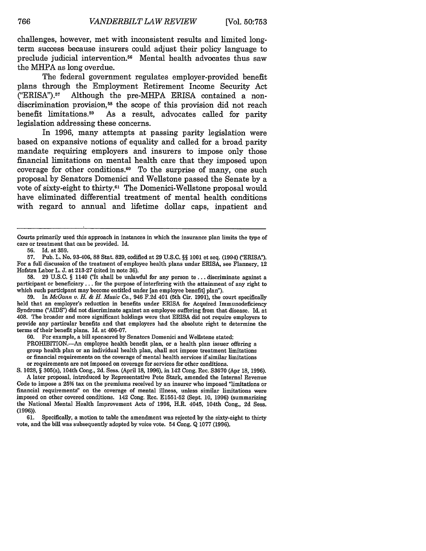challenges, however, met with inconsistent results and limited longterm success because insurers could adjust their policy language to preclude judicial intervention.56 Mental health advocates thus saw the MHPA as long overdue.

The federal government regulates employer-provided benefit plans through the Employment Retirement Income Security Act ("ERISA"). 57 Although the pre-MHPA ERISA contained a nondiscrimination provision,<sup>58</sup> the scope of this provision did not reach benefit limitations.<sup>59</sup> As a result, advocates called for parity As a result, advocates called for parity legislation addressing these concerns.

In 1996, many attempts at passing parity legislation were based on expansive notions of equality and called for a broad parity mandate requiring employers and insurers to impose only those financial limitations on mental health care that they imposed upon coverage for other conditions.<sup>60</sup> To the surprise of many, one such proposal by Senators Domenici and Wellstone passed the Senate by a vote of sixty-eight to thirty.61 The Domenici-Wellstone proposal would have eliminated differential treatment of mental health conditions with regard to annual and lifetime dollar caps, inpatient and

58. 29 U.S.C. § 1140 ('It shall be unlawful for any person to... discriminate against a participant or beneficiary... for the purpose of interfering with the attainment of any right to which such participant may become entitled under [an employee benefit] plan").

**59.** In *McGann v. H. & H. Music Co.,* 946 F.2d 401 (5th Cir. 1991), the court specifically held that an employer's reduction in benefits under ERISA for Acquired Immunodeficiency Syndrome ("AIDS") did not discriminate against an employee suffering from that disease. Id. at 408. The broader and more significant holdings were that ERISA did not require employers to provide any particular benefits and that employers had the absolute right to determine the terms of their benefit plans. Id. at 406-07.

60. For example, a bill sponsored by Senators Domenici and Wellstone stated:

PROHIBITION.-An employee health benefit plan, or a health plan issuer offering a group health plan or an individual health plan, shall not impose treatment limitations or financial requirements on the coverage of mental health services if similar limitations or requirements are not imposed on coverage for services for other conditions.

**S.** 1028, § 305(a), 104th Cong., 2d. Sess. (April 18, 1996), in 142 Cong. Rec. 83670 (Apr 18, 1996). A later proposal, introduced by Representative Pete Stark, amended the Internal Revenue Code to impose a **25%** tax on the premiums received by an insurer who imposed "limitations or financial requirements" on the coverage of mental illness, unless similar limitations were imposed on other covered conditions. 142 Cong. Rec. E1551-52 (Sept. 10, 1996) (summarizing the National Mental Health Improvement Acts of 1996, H.R. 4045, 104th Cong., 2d Sess. (1996)).

**61.** Specifically, a motion to table the amendment was rejected **by** the sixty-eight to thirty vote, and the bill was subsequently adopted by voice vote. 54 Cong. Q 1077 (1996).

Courts primarily used this approach in instances in which the insurance plan limits the type of care or treatment that can be provided. Id.

<sup>56.</sup> Id. at 359.

<sup>57.</sup> Pub. **L.** No. 93-406, 88 Stat. 829, codified at 29 U.S.C. §§ **1001** et seq. (1994) ("ERISA"). For a full discussion of the treatment of employee health plans under ERISA, see Flannery, 12 Hofstra Labor L. J. at 213-27 (cited in note 36).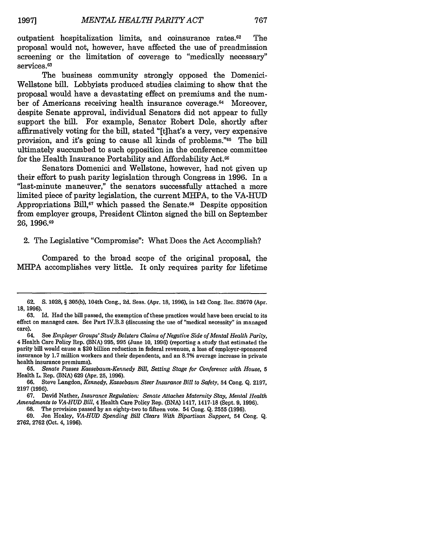outpatient hospitalization limits, and coinsurance rates.62 The proposal would not, however, have affected the use of preadmission screening or the limitation of coverage to "medically necessary" services.<sup>63</sup>

The business community strongly opposed the Domenici-Wellstone bill. Lobbyists produced studies claiming to show that the proposal would have a devastating effect on premiums and the number of Americans receiving health insurance coverage.<sup>64</sup> Moreover, despite Senate approval, individual Senators did not appear to fully support the bill. For example, Senator Robert Dole, shortly after affirmatively voting for the bill, stated "[t]hat's a very, very expensive provision, and it's going to cause all kinds of problems."<sup>65</sup> The bill ultimately succumbed to such opposition in the conference committee for the Health Insurance Portability and Affordability Act.<sup>66</sup>

Senators Domenici and Wellstone, however, had not given up their effort to push parity legislation through Congress in 1996. In a "last-minute maneuver," the senators successfully attached a more limited piece of parity legislation, the current MHPA, to the VA-HUD Appropriations Bill,<sup>67</sup> which passed the Senate.<sup>68</sup> Despite opposition from employer groups, President Clinton signed the bill on September **26, 1996.69**

#### 2. The Legislative "Compromise": What Does the Act Accomplish?

Compared to the broad scope of the original proposal, the MHPA accomplishes very little. It only requires parity for lifetime

**<sup>62.</sup> S. 1028,** § 305(b), 104th Cong., **2d.** Sess. (Apr. 18, 1996), in 142 Cong. Rec. S3670 (Apr. **18,** 1996).

<sup>63.</sup> Id. Had the bill passed, the exemption of these practices would have been crucial to its effect on managed care. See Part IV.B.3 (discussing the use of "medical necessity" in managed care).

<sup>64.</sup> See *Employer Groups' Study Bolsters Claims of Negative Side of Mental Health Parity,* 4 Health Care Policy Rep. (BNA) 995, **995** (June 10, 1996) (reporting a study that estimated the parity bill would cause a \$20 billion reduction in federal revenues, a loss of employer-sponsored insurance by 1.7 million workers and their dependents, and an 8.7% average increase in private health insurance premiums).

**<sup>65.</sup>** *Senate Passes Kassebaum-Kennedy Bill, Setting Stage for Conference with House, 5* Health L. Rep. (BNA) 629 (Apr. **25,** 1996).

**<sup>66.</sup>** Steve Langdon, *Kennedy, Kassebaum Steer Insurance Bill to Safety,* 54 Cong. Q. 2197, **2197 (1996).**

<sup>67.</sup> David Nather, *Insurance Regulation: Senate Attaches Maternity Stay, Mental Health Amendments to VA-HUD Bill,* 4 Health Care Policy Rep. (BNA) 1417, 1417-18 (Sept. 9, 1996). **68.** The provision passed by an eighty-two to fifteen vote. 54 Cong. Q. **2555** (1996).

<sup>69.</sup> Jon Healey, *VA-HUD Spending Bill Clears With Bipartisan Support,* 54 Cong. Q. 2762, 2762 (Oct. 4, 1996).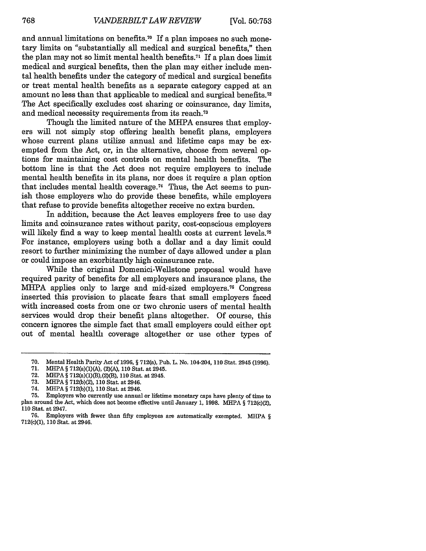and annual limitations on benefits.<sup>70</sup> If a plan imposes no such monetary limits on "substantially all medical and surgical benefits," then the plan may not so limit mental health benefits.<sup> $71$ </sup> If a plan does limit medical and surgical benefits, then the plan may either include mental health benefits under the category of medical and surgical benefits or treat mental health benefits as a separate category capped at an amount no less than that applicable to medical and surgical benefits. <sup>72</sup> The Act specifically excludes cost sharing or coinsurance, day limits, and medical necessity requirements from its reach.<sup>73</sup>

Though the limited nature of the MHPA ensures that employers will not simply stop offering health benefit plans, employers whose current plans utilize annual and lifetime caps may be exempted from the Act, or, in the alternative, choose from several options for maintaining cost controls on mental health benefits. The bottom line is that the Act does not require employers to include mental health benefits in its plans, nor does it require a plan option that includes mental health coverage. 74 Thus, the Act seems to punish those employers who do provide these benefits, while employers that refuse to provide benefits altogether receive no extra burden.

In addition, because the Act leaves employers free to use day limits and coinsurance rates without parity, cost-conscious employers will likely find a way to keep mental health costs at current levels.<sup>75</sup> For instance, employers using both a dollar and a day limit could resort to further minimizing the number of days allowed under a plan or could impose an exorbitantly high coinsurance rate.

While the original Domenici-Wellstone proposal would have required parity of benefits for all employers and insurance plans, the MHPA applies only to large and mid-sized employers.<sup>76</sup> Congress inserted this provision to placate fears that small employers faced with increased costs from one or two chronic users of mental health services would drop their benefit plans altogether. Of course, this concern ignores the simple fact that small employers could either opt out of mental health coverage altogether or use other types of

**72.** MHPA § 712(a)(1)(B),(2)(B), **110** Stat. at 2945.

<sup>70.</sup> Mental Health Parity Act of 1996, § 712(a), Pub. L. No. 104-204, 110 Stat. 2945 (1996).

<sup>71.</sup> MliPA § 712(a)(1)(A), (2)(A), 110 Stat. at 2945.

<sup>73.</sup> MHPA § 712(b)(2), 110 Stat. at 2946.

<sup>74.</sup> MHPA § 712(b)(1), **110** Stat. at 2946.

<sup>75.</sup> Employers who currently use annual or lifetime monetary caps have plenty of time to plan around the Act, which does not become effective until January 1, 1998. MHPA § 712(c)(2), 110 Stat. at 2947.

Employers with fewer than fifty employees are automatically exempted. MHPA  $\S$ 712(c)(1), 110 Stat. at 2946.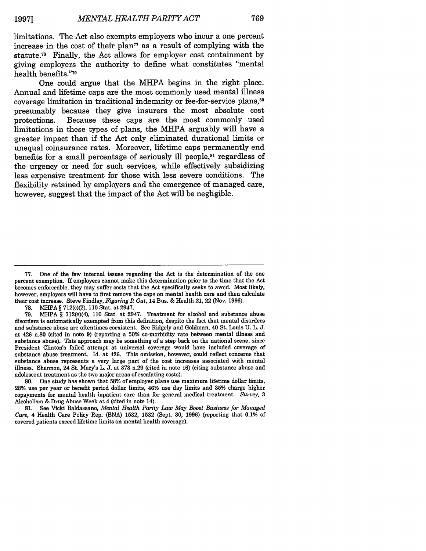limitations. The Act also exempts employers who incur a one percent increase in the cost of their plan<sup> $77$ </sup> as a result of complying with the statute.<sup>78</sup> Finally, the Act allows for employer cost containment by giving employers the authority to define what constitutes "mental health benefits."<sup>79</sup>

One could argue that the MHPA begins in the right place. Annual and lifetime caps are the most commonly used mental illness coverage limitation in traditional indemnity or fee-for-service plans,80 presumably because they give insurers the most absolute cost protections. Because these caps are the most commonly used limitations in these types of plans, the MHPA arguably will have a greater impact than if the Act only eliminated durational limits or unequal coinsurance rates. Moreover, lifetime caps permanently end benefits for a small percentage of seriously ill people, $s<sub>1</sub>$  regardless of the urgency or need for such services, while effectively subsidizing less expensive treatment for those with less severe conditions. The flexibility retained by employers and the emergence of managed care, however, suggest that the impact of the Act will be negligible.

**78.** MIHIPA § 712(c)(2), **110** Stat. at 2947.

79. MHPA § 712(e)(4), **110** Stat. at 2947. Treatment for alcohol and substance abuse disorders is automatically exempted from this definition, despite the fact that mental disorders and substance abuse are oftentimes coexistent. See Ridgely and Goldman, 40 St. Louis U. L. **J.** at 426 n.80 (cited in note 9) (reporting a 50% co-morbidity rate between mental illness and substance abuse). This approach may be something of a step back on the national scene, since President Clinton's failed attempt at universal coverage would have included coverage of substance abuse treatment. Id. at 426. This omission, however, could reflect concerns that substance abuse represents a very large part of the cost increases associated with mental illness. Shannon, 24 St. Mary's L. J. at 373 n.29 (cited in note 16) (citing substance abuse and adolescent treatment as the two major areas of escalating costs).

80. One study has shown that 58% of employer plans use maximum lifetime dollar limits, 28% use per year or benefit period dollar limits, 46% use day limits and 35% charge higher copayments for mental health inpatient care than for general medical treatment. *Survey, 3* Alcoholism & Drug Abuse Week at 4 (cited in note 14).

**81.** See Vicki Baldassano, *Mental Health Parity Law May Boost Business for Managed Care,* 4 Health Care Policy Rep. (BNA) 1532, 1532 (Sept. **30,** 1996) (reporting that 0.1% of covered patients exceed lifetime limits on mental health coverage).

<sup>77.</sup> One of the few internal issues regarding the Act is the determination of the one percent exemption. If employers cannot make this determination prior to the time that the Act becomes enforceable, they may suffer costs that the Act specifically seeks to avoid. Most likely, however, employers will have to first remove the caps on mental health care and then calculate their cost increase. Steve Findlay, *Figuring It Out,* 14 Bus. & Health 21, 22 (Nov. 1996).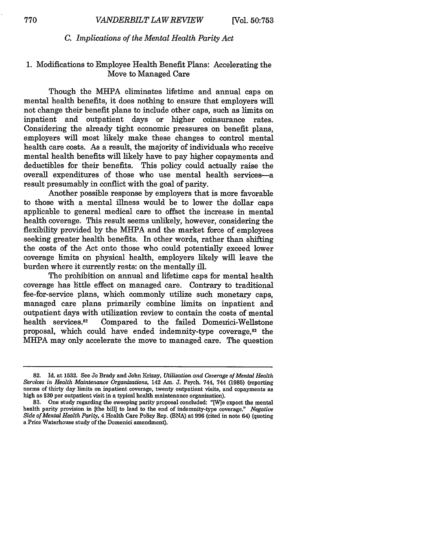#### *C. Implications of the Mental Health Parity Act*

### 1. Modifications to Employee Health Benefit Plans: Accelerating the Move to Managed Care

Though the MHPA eliminates lifetime and annual caps on mental health benefits, it does nothing to ensure that employers will not change their benefit plans to include other caps, such as limits on inpatient and outpatient days or higher coinsurance rates. Considering the already tight economic pressures on benefit plans, employers will most likely make these changes to control mental health care costs. As a result, the majority of individuals who receive mental health benefits will likely have to pay higher copayments and deductibles for their benefits. This policy could actually raise the overall expenditures of those who use mental health services-a result presumably in conflict with the goal of parity.

Another possible response by employers that is more favorable to those with a mental illness would be to lower the dollar caps applicable to general medical care to offset the increase in mental health coverage. This result seems unlikely, however, considering the flexibility provided by the MHPA and the market force of employees seeking greater health benefits. In other words, rather than shifting the costs of the Act onto those who could potentially exceed lower coverage limits on physical health, employers likely will leave the burden where it currently rests: on the mentally ill.

The prohibition on annual and lifetime caps for mental health coverage has little effect on managed care. Contrary to traditional fee-for-service plans, which commonly utilize such monetary caps, managed care plans primarily combine limits on inpatient and outpatient days with utilization review to contain the costs of mental health services.<sup>82</sup> Compared to the failed Domeinci-Wellstone proposal, which could have ended indemnity-type coverage,<sup>83</sup> the MHPA may only accelerate the move to managed care. The question

<sup>82.</sup> Id. at 1532. See Jo Brady and John Krizay, *Utilization and Coverage of Mental Health Services in Health Maintenance Organizations,* 142 Am. **J.** Psych. 744, 744 (1985) (reporting norms of thirty day limits on inpatient coverage, twenty outpatient visits, and copayments as high as \$30 per outpatient visit in a typical health maintenance organization).

<sup>83.</sup> One study regarding the sweeping parity proposal concluded: "[W]e expect the mental health parity provision in [the bill] to lead to the end of indemnity-type coverage." *Negative Side of Mental Health Parity,* 4 Health Care Policy Rep. (BNA) at 996 (cited in note 64) (quoting a Price Waterhouse study of the Domenici amendment).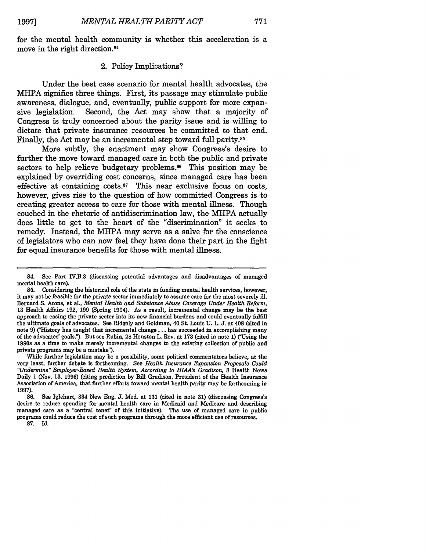for the mental health community is whether this acceleration is a move in the right direction.84

#### 2. Policy Implications?

Under the best case scenario for mental health advocates, the MHPA signifies three things. First, its passage may stimulate public awareness, dialogue, and, eventually, public support for more expansive legislation. Second, the Act may show that a majority of Congress is truly concerned about the parity issue and is willing to dictate that private insurance resources be committed to that end. Finally, the Act may be an incremental step toward full parity.<sup>85</sup>

More subtly, the enactment may show Congress's desire to further the move toward managed care in both the public and private sectors to help relieve budgetary problems.<sup>86</sup> This position may be explained by overriding cost concerns, since managed care has been effective at containing costs. $87$  This near exclusive focus on costs, however, gives rise to the question of how committed Congress is to creating greater access to care for those with mental illness. Though couched in the rhetoric of antidiscrimination law, the MHPA actually does little to get to the heart of the "discrimination" it seeks to remedy. Instead, the MHPA may serve as a salve for the conscience of legislators who can now feel they have done their part in the fight for equal insurance benefits for those with mental illness.

While further legislation may be a possibility, some political commentators believe, at the very least, further debate is forthcoming. See *Health Insurance Expansion Proposals Could "Undermine" Employer-Based Health System, According to HLAA's Gradison,* **8** Health News Daily 1 (Nov. 13, 1996) (citing prediction by Bill Gradison, President of the Health Insurance Association of America, that further efforts toward mental health parity may be forthcoming in 1997).

<sup>84.</sup> See Part IV.B.3 (discussing potential advantages and disadvantages of managed mental health care).

**<sup>85.</sup>** Considering the historical role of the state in funding mental health services, however, it may not be feasible for the private sector immediately to assume care for the most severely ill. Bernard S. Axons, et al., *Mental Health and Substance Abuse Coverage Under Health Reform,* 13 Health Affairs 192, 199 (Spring 1994). As a result, incremental change may be the best approach to easing the private secter into its new financial burdens and could eventually fulfill the ultimate goals of advocates. See Ridgely and Goldman, 40 St. Louis U. L. J. at 408 (cited in note 9) ("History has taught that incremental change.., has succeeded in accomplishing many of the advocates' goals."). But see Rubin, 28 Houston L. Rev. at 173 (cited in note 1) ("Using the 1990s as a time to make merely incremental changes to the existing collection of public and private programs may be a mistake").

**<sup>86.</sup>** See Iglehart, 334 New Eng. J. Med. at 131 (cited in note 31) (discussing Congress's desire te reduce spending for mental health care in Medicaid and Medicare and describing managed care as a "central tenet" of this initiative). Ths use of managed care in public programs could reduce the cost of such programs through the more efficient use of resources. **87.** Id.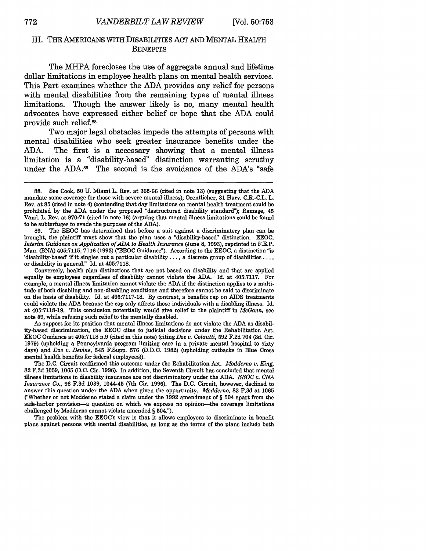#### III. THE AMERICANS WITH DISABILITIES ACT AND MENTAL HEALTH **BENEFITS**

The MHPA forecloses the use of aggregate annual and lifetime dollar limitations in employee health plans on mental health services. This Part examines whether the **ADA** provides any relief for persons with mental disabilities from the remaining types of mental illness limitations. Though the answer likely is no, many mental health advocates have expressed either belief or hope that the **ADA** could provide such relief.88

Two major legal obstacles impede the attempts of persons with mental disabilities who seek greater insurance benefits under the **ADA.** The first is a necessary showing that a mental illness limitation is a "disability-based" distinction warranting scrutiny under the ADA.<sup>89</sup> The second is the avoidance of the ADA's "safe

**89.** The **EEOC** has determined that before a suit against a discriminatory plan can be brought, the plaintiff must show that the plan uses a "disability-based" distinction. **EEOC,** *Interim Guidance on Application of ADA to Health Insurance* (June **8, 1993),** reprinted in F.E.P. Man. (BNA) 405:7115, 7116 (1993) ("EEOC Guidance"). According to the EEOC, a distinction "is 'disability-based' if it singles out a particular disability..., a discrete group of disabilities **....** or disability in general." Id. at 405:7118.

Conversely, health plan distinctions that are not based on disability and that are applied equally to employees regardless of disability cannot violate the ADA. Id. at 405:7117. For example, a mental illness limitation cannot violate the ADA if the distinction applies to a multitude of both disabling and non-disabling conditions and therefore cannot be said to discriminate on the basis of disability. Id. at 405:7117-18. By contrast, a benefits cap on AIDS treatments could violate the ADA because the cap only affects those individuals with a disabling illness. Id. at 405:7118-19. This conclusion potentially would give relief to the plaintiff in *McGann,* see note **59,** while refusing such relief to the mentally disabled.

As support for its position that mental illness limitations do not violate the ADA as disability-based discrimination, the EEOC cites to judicial decisions under the Rehabilitation Act. EEOC Guidance at 405:7118 n.9 (cited in this note) (citing *Doe v. Colautti,* 592 F.2d 704 (3d. Cir. 1979) (upholding a Pennsylvania program limiting care in a private mental hospital to sixty days) and *Doe v. Devine,* 545 F.Supp. **576** (D.D.C. 1982) (upholding cutbacks in Blue Cross mental health benefits for federal employees)).

The D.C. Circuit reaffirmed this outcome under the Rehabilitation Act. *Modderno v. King,* 82 F.3d 1059, 1065 (D.C. Cir. 1996). In addition, the Seventh Circuit has concluded that mental illness limitations in disability insurance are not discriminatory under the **ADA.** *EEOC v. CNA Insurance Co.,* 96 F.3d 1039, 1044-45 (7th Cir. 1996). The D.C. Circuit, however, declined to answer this question under the ADA when given the opportunity. *Modderno,* 82 F.3d at 1065 ("Whether or not Modderno stated a claim under the 1992 amendment of § 504 apart from the safe-harbor provision-a question on which we express no opinion-the coverage limitations challenged by Modderno cannot violate amended § 504").

The problem with the EEOCs view is that it allows employers to discriminate in benefit plans against persons with mental disabilities, as long as the terms of the plans include both

**<sup>88.</sup>** See Cook, **50 U.** Miami L. Rev. at **365-66** (cited in note **13)** (suggesting that the **ADA** mandate some coverage for those with severe mental illness); Orentlicher, **31** Harv. C.R.-C.L. L. Rev. at **85** (cited in note 4) (contending that day limitations on mental health treatment could be prohibited **by** the **ADA** under the proposed "destructured disability standard"); Ramage, 45 Vand. L. Rev. at **970-71** (cited in note **16)** (arguing that mental illness limitations could be found to be subterfuges to evade the purposes of the **ADA).**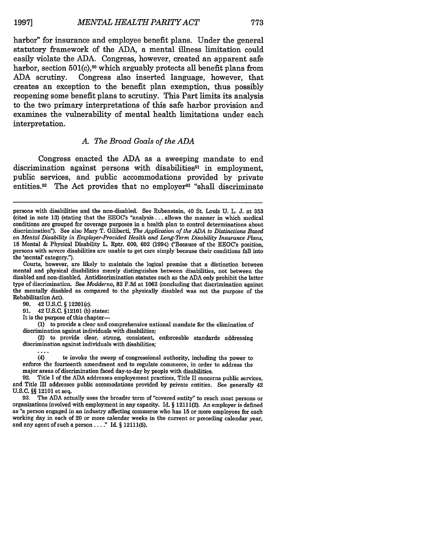harbor" for insurance and employee benefit plans. Under the general statutory framework of the ADA, a mental illness limitation could easily violate the ADA. Congress, however, created an apparent safe harbor, section 501(c),<sup>90</sup> which arguably protects all benefit plans from ADA scrutiny. Congress also inserted language, however, that creates an exception to the benefit plan exemption, thus possibly reopening some benefit plans to scrutiny. This Part limits its analysis to the two primary interpretations of this safe harbor provision and examines the vulnerability of mental health limitations under each interpretation.

#### *A. The Broad Goals of the ADA*

Congress enacted the ADA as a sweeping mandate to end discrimination against persons with disabilities<sup>91</sup> in employment, public services, and public accommodations provided by private entities.<sup>92</sup> The Act provides that no employer<sup>93</sup> "shall discriminate

90. 42 U.S.C. § 12201(c).

91. 42 U.S.C. §12101 (b) states:

It is the purpose of this chapter-

**(1)** to provide a clear and comprehensive national mandate for the elimination of discrimination against individuals with disabilities;

(2) to provide clear, strong, consistent, enforceable standards addressing discrimination against individuals with disabilities;

(4) to invoke the sweep of congressional authority, including the power to enforce the fourteenth amendment and to regulate commerce, in order to address the major areas of discrimination faced day-to-day by people with disabilities.

92. Title I of the ADA addresses employement practices, Title II concerns public services, and Title III addresses public accomodations provided by private entities. See generally 42 U.S.C. §§ 12101 et seq.

93. The ADA actually uses the broader term of "covered entity" to reach most persons or organizations involved with employment in any capacity. Id.  $\S$  12111(2). An employer is defined as "a person engaged in an industry working day in each of 20 or more calendar weeks in the current or preceding calendar year, and any agent of such a person  $\dots$ ." Id. § 12111(5).

persons with disabilities and the non-disabled. See Rubenstein, 40 St. Louis U. L. J. at 353 (cited in note 13) (stating that the EEOC's "analysis... allows the manner in which medical conditions are grouped for coverage purposes in a health plan to control determinations about discrimination"). See also Mary T. Giliberti, *The Application of the ADA to Distinctions Based on Mental Disability in Employer-Provided Health and Long-Term Disability Insurance Plans,* 18 Mental & Physical Disability L. Rptr. 600, 602 (1994) ("Because of the EEOC's position, persons with severe disabilities are unable to get care simply because their conditions fall into the 'mental' category.").

Courts, however, are likely to maintain the logical premise that a distinction between mental and physical disabilities merely distinguishes between disabilities, not between the disabled and non-disabled. Antidiscrimination statutes such as the ADA only prohibit the latter type of discrimination. See *Modderno,* 82 F.3d at 1062 (concluding that discrimination against the mentally disabled as compared to the physically disabled was not the purpose of the Rehabilitation Act).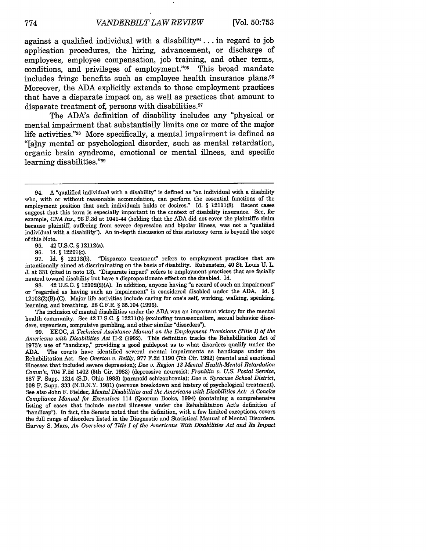against a qualified individual with a disability<sup>94</sup>... in regard to job application procedures, the hiring, advancement, or discharge of employees, employee compensation, job training, and other terms, conditions, and privileges of employment."<sup>95</sup> This broad mandate includes fringe benefits such as employee health insurance plans.9 6 Moreover, the ADA explicitly extends to those employment practices that have a disparate impact on, as well as practices that amount to disparate treatment of, persons with disabilities.<sup>97</sup>

The ADA's definition of disability includes any "physical or mental impairment that substantially limits one or more of the major life activities."98 More specifically, a mental impairment is defined as "[a]ny mental or psychological disorder, such as mental retardation, organic brain syndrome, emotional or mental illness, and specific learning disabilities."99

**95.** 42 **U.S.C.** § 12112(a).

**96.** Id. § 12201(c).<br>**97.** Id. § 12112(b). "Disparato treatment" refers to employment practices that are intentionally aimed at discriminating on the basis of disability. Rubenstein, 40 St. Louis U. L. J. at 331 (cited in note 13). 'Disparate impact" refers to employment practices that are facially neutral toward disability but have a disproportionate effect on the disabled. Id.

98. 42 U.S.C. § 12102(2)(A). In addition, anyone having "a record of such an impairment" or "regarded as having such an impairment" is considered disabled under the ADA. Id. § 12102(2)(B)-(C). Major life activities include caring for one's self, working, walking, speaking, learning, and breathing. 28 C.F.R. § 35.104 (1996).

The inclusion of mental disabilities under the ADA was an important victory for the mental health community. See 42 U.S.C. § 12211(b) (excluding transsexualism, sexual behavior disorders, voyeurism, compulsive gambling, and other similar "disorders").

**99. EEOC,** *A Technical Assistance Manual on the Employment Provisions (Title I) of the Americans with Disabilities Act* 11-2 (1992). This definition tracks the Rehabilitation Act of 1973's use of "handicap," providing a good guidepost as to what disorders qualify under the ADA. The courts have identified several mental impairments as handicaps under the Rehabilitation Act. See *Overton v. Reilly,* 977 F.2d 1190 (7th Cir. 1992) (mental and emotional illnesses that included severe depression); *Doe v. Region 13 Mental Health-Mental Retardation Comm'n,* 704 F.2d 1402 (5th Cir. 1983) (depressive neurosis); *Franklin v. U.S. Postal Service,* 687 F. Supp. 1214 (S.D. Ohio 1988) (paranoid schizophrenia); *Doe v. Syracuse School District,* **<sup>508</sup>**F. Supp. 333 (N.D.N.Y. 1981) (nervous breakdown and history of psychological treatment). See also John F. Fielder, *Mental Disabilities and the Americans with Disabilities Act: A Concise Compliance Manual for Executives* 114 (Quorum Books, 1994) (containing a comprehensive listing of cases that include mental illnesses under the Rehabilitation Act's definition of "handicap"). In fact, the Senate noted that the definition, with a few limited exceptions, covers the full range of disorders listed in the Diagnostic and Statistical Manual of Mental Disorders. Harvey S. Mars, *An Overview of Title I of the Americans With Disabilities Act and Its Impact*

<sup>94.</sup> A "qualified individual with a disability" is defined as "an individual with a disability who, with or without reasonable accomodation, can perform the essential functions of the employment position that such individuals holds or desires." Id. § 12111(8). Recent cases suggest that this term is especially important in the context of disability insurance. See, for example, *CNA Ins.,* 96 F.3d at 1041-44 (holding that the ADA did not cover the plaintiffs claim because plaintiff, suffering from severe depression and bipolar illness, was not a "qualified individual with a disability"). An in-depth discussion of this statutory term is beyond the scope of this Noto.<br>95. 42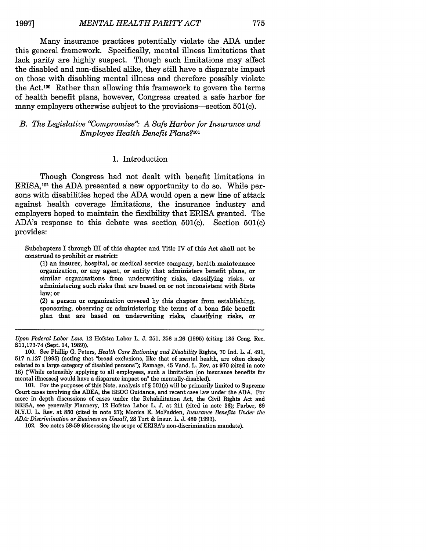Many insurance practices potentially violate the ADA under this general framework. Specifically, mental illness limitations that lack parity are highly suspect. Though such limitations may affect the disabled and non-disabled alike, they still have a disparate impact on those with disabling mental illness and therefore possibly violate the Act.100 Rather than allowing this framework to govern the terms of health benefit plans, however, Congress created a safe harbor for many employers otherwise subject to the provisions—section 501(c).

#### *B. The Legislative "Compromise" A Safe Harbor for Insurance and Employee Health Benefit Plans?'°1*

#### 1. Introduction

Though Congress had not dealt with benefit limitations in ERISA,102 the ADA presented a new opportunity to do so. While persons with disabilities hoped the ADA would open a new line of attack against health coverage limitations, the insurance industry and employers hoped to maintain the flexibility that ERISA granted. The ADA's response to this debate was section 501(c). Section 501(c) provides:

Subchapters I through III of this chapter and Title IV of this Act shall not be construed to prohibit or restrict:

(1) an insurer, hospital, or medical service company, health maintenance organization, or any agent, or entity that administers benefit plans, or similar organizations from underwriting risks, classifying risks, or administering such risks that are based on or not inconsistent with State law; or

(2) a person or organization covered by this chapter from establishing, sponsoring, observing or administering the terms of a bona fide benefit plan that are based on underwriting risks, classifying risks, or

101. For the purposes of this Note, analysis of § 501(c) will be primarily limited to Supreme Court cases involving the ADEA, the EEOC Guidance, and recent case law under the **ADA-** For more in depth discussions of cases under the Rehabilitation Act, the Civil Rights Act and ERISA, see generally Flannery, 12 Hofstra Labor L. J. at 211 (cited in note 36); Farber, 69 N.Y.U. L. Rev. at 850 (cited in note 27); Monica E. McFadden, *Insurance Benefits Under the ADA- Discrimination or Business as Usual?,* 28 Tort & Insur. L. **J.** 480 (1993).

102. See notes 58-59 (discussing the scope of ERISA's non-discrimination mandate).

*Upon Federal Labor Law,* 12 Hofstra Labor L. J. 251, 256 n.26 (1995) (citing **135** Cong. Rec. S11,173-74 (Sept. 14, 1989)).

<sup>100.</sup> See Phillip G. Peters, *Health Care Rationing and Disability* Rights, 70 Ind. L. J. 491, 517 n.127 (1995) (noting that "broad exclusions, like that of mental health, are often closely related to a large category of disabled persons"); Ramage, 45 Vand. L. Rev. at 970 (cited in note 16) ("While ostensibly applying to all employees, such a limitation [on insurance benefits for mental illnesses] would have a disparate impact on" the mentally-disabled).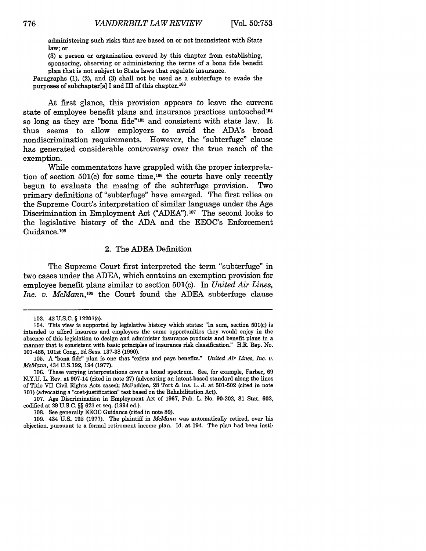administering such risks that are based on or not inconsistent with State law; or

(3) a person or organization covered by this chapter from establishing, sponsoring, observing or administering the terms of a bona fide benefit plan that is not subject to State laws that regulate insurance.

Paragraphs (1), (2), and (3) shall not be used as a subterfuge to evade the purposes of subchapter[s] I and III of this chapter.<sup>103</sup>

At first glance, this provision appears to leave the current state of employee benefit plans and insurance practices untouched<sup>104</sup> so long as they are "bona fide"105 and consistent with state law. It thus seems to allow employers to avoid the ADA's broad nondiscrimination requirements. However, the "subterfuge" clause has generated considerable controversy over the true reach of the exemption.

While commentators have grappled with the proper interpretation of section  $501(c)$  for some time,<sup>106</sup> the courts have only recently begun to evaluate the meaing of the subterfuge provision. Two primary definitions of "subterfuge" have emerged. The first relies on the Supreme Court's interpretation of similar language under the Age Discrimination in Employment Act ("ADEA").107 The second looks to the legislative history of the ADA and the EEOC's Enforcement Guidance.<sup>108</sup>

#### 2. The ADEA Definition

The Supreme Court first interpreted the term "subterfuge" in two cases under the ADEA, which contains an exemption provision for employee benefit plans similar to section 501(c). In *United Air Lines, Inc. v. McMann*,<sup>109</sup> the Court found the ADEA subterfuge clause

107. Age Discrimination in Employment Act of 1967, Pub. L. No. 90-202, **81** Stat. 602, codified at 29 U.S.C. §§ 621 et seq. (1994 ed.).

108. See generally EEOC Guidance (cited in note 89).

109. 434 U.S. 192 (1977). The plaintiff in *McMann* was automatically retired, over his objection, pursuant to a formal retirement income plan. Id. at 194. The plan had been insti-

<sup>103. 42</sup> U.S.C. § 12201(c).

<sup>104.</sup> This view is supported by legislative history which states: "In sum, section 501(c) is intended to afford insurers and employers the same opportunities they would enjoy in the manner that is consistent with basic principles of insurance risk classification." H.R. Rep. No. 101-485, 101st Cong., 2d Sess. 137-38 (1990).

<sup>105.</sup> A "bona fide" plan is one that "exists and pays benefits." *United Air Lines, Inc. v. McMann,* 434 U.S.192, 194 (1977).

<sup>106.</sup> These varying interpretations cover a broad spectrum. See, for example, Farber, 69 N.Y.U. L. Rev. at 907-14 (cited in note 27) (advocating an intent-based standard along the lines of Title VII Civil Rights Acts cases); McFadden, 28 Tort & Ins. L. J. at 501-502 (cited in note 101) (advocating a "cost-justification" test based on the Rehabilitation Act).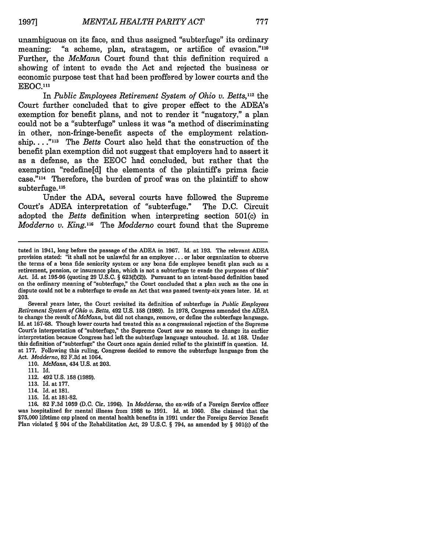unambiguous on its face, and thus assigned "subterfuge" its ordinary meaning: "a scheme, plan, stratagem, or artifice of evasion."<sup>110</sup> Further, the *McMann* Court found that this definition required a showing of intent to evade the Act and rejected the business or economic purpose test that had been proffered by lower courts and the EEOC.<sup>111</sup>

In *Public Employees Retirement System of Ohio v. Betts,12* the Court further concluded that to give proper effect to the ADEA's exemption for benefit plans, and not to render it "nugatory," a plan could not be a "subterfuge" unless it was "a method of discriminating in other, non-fringe-benefit aspects of the employment relationship. **... 113** The *Betts* Court also held that the construction of the benefit plan exemption did not suggest that employers had to assert it as a defense, as the EEOC had concluded, but rather that the exemption "redefine[d] the elements of the plaintiffs prima facie case."<sup>114</sup> Therefore, the burden of proof was on the plaintiff to show subterfuge.<sup>115</sup>

Under the ADA, several courts have followed the Supreme Court's ADEA interpretation of "subterfuge." The D.C. Circuit adopted the *Betts* definition when interpreting section 501(c) in *Modderno v. King."6 The Modderno* court found that the Supreme

Several years later, the Court revisited its definition of subterfuge in *Public Employees Retirement System of Ohio v. Betts,* 492 U.S. **158** (1989). In 1978, Congress amended the ADEA te change the result of *McMann*, but did not change, remove, or define the subterfuge language. Id. at 167-68. Though lower courts had treated this as a congressional rejection of the Supreme Court's interpretation of "subterfuge," the Supreme Court saw no reason to change its earlier interpretation because Congress had left the subterfuge language untouched. Id. at 168. Under this definition of "subterfuge" the Court once again denied relief to the plaintiff in question. Id. at 177. Following this ruling, Congress decided to remove the subterfuge language from the Act. *Modderno,* 82 F.3d at 1064.

110. *McMann,* 434 U.S. at 203.

- 112. 492 **U.S. 158 (1989).**
- **113.** Id. at **177.**
- 114. Id. at **181.**
- **115.** Id. at **181-82.**

**116. 82 F.3d 1059 (D.C.** Cir. **1996).** In *Modderno,* the ex-wife of a Foreign Service officer was hospitalized for mental illness from **1988** to **1991.** Id. at **1060.** She claimed that the **\$75,000** lifetime cap placed on mental health benefits in **1991** under the Foreign Service Benefit Plan violated § 504 of the Rehabilitation Act, **29 U.S.C.** § 794, as amended **by** § 501(c) of the

tuted in 1941, long before the passage of the ADEA in 1967. Id. at 193. The relevant ADEA provision stated: "it shall not be unlawful for an employer.., or labor organization to observe the terms of a bona fide seniority system or any bona fide employee benefit plan such as a retirement, pension, or insurance plan, which is not a subterfuge to evade the purposes of this" Act. Id. at 195-96 (quoting 29 U.S.C. § 623(f)(2)). Pursuant to an intent-based definition based on the ordinary meaning of "subterfuge," the Court concluded that a plan such as the one in dispute could not be a subterfuge to evade an Act that was passed twenty-six years later. Id. at 203.

<sup>111.</sup> Id.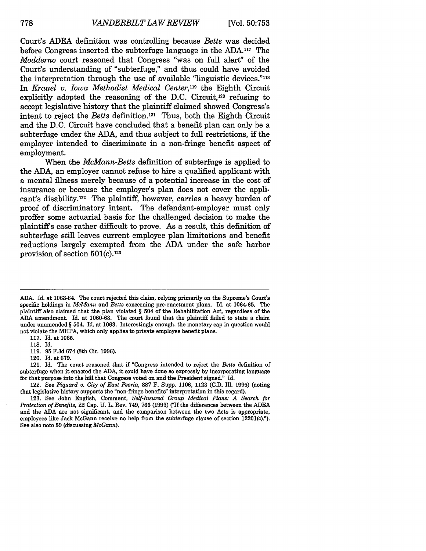Court's ADEA definition was controlling because *Betts* was decided before Congress inserted the subterfuge language in the ADA.117 The *Modderno* court reasoned that Congress "was on full alert" of the Court's understanding of "subterfuge," and thus could have avoided the interpretation through the use of available "linguistic devices."118 In *Krauel v. Iowa Methodist Medical Center,119* the Eighth Circuit explicitly adopted the reasoning of the D.C. Circuit,<sup>120</sup> refusing to accept legislative history that the plaintiff claimed showed Congress's intent to reject the *Betts* definition. <sup>2</sup> 1 Thus, both the Eighth Circuit and the D.C. Circuit have concluded that a benefit plan can only be a subterfuge under the ADA, and thus subject to full restrictions, if the employer intended to discriminate in a non-fringe benefit aspect of employment.

When the *McMann-Betts* definition of subterfuge is applied to the ADA, an employer cannot refuse to hire a qualified applicant with a mental illness merely because of a potential increase in the cost of insurance or because the employer's plan does not cover the applicant's disability.<sup>122</sup> The plaintiff, however, carries a heavy burden of proof of discriminatory intent. The defendant-employer must only proffer some actuarial basis for the challenged decision to make the plaintiffs case rather difficult to prove. As a result, this definition of subterfuge still leaves current employee plan limitations and benefit reductions largely exempted from the ADA under the safe harbor provision of section 501(c).123

ADA. Id. at 1063-64. The court rejected this claim, relying primarily on the Supreme's Court's specific holdings in *McMann* and Betts concerning pre-enactment plans. Id. at **1064-65.** The plaintiff also claimed that the plan violated § 504 of the Rehabilitation Act, regardless of the ADA amendment. Id. at 1060-63. The court found that the plaintiff failed to state a claim under unamended § 504. Id. at 1063. Interestingly enough, the monetary cap in question would not violate the MHPA, which only applies to private employee benefit plans.

<sup>117.</sup> Id. at 1065.

**<sup>118.</sup>** Id.

<sup>119.</sup> **95** F.3d 674 (8th Cir. 1996).

<sup>120.</sup> Id. at 679.

<sup>121.</sup> Id. The court reasoned that if "Congress intended to reject the Betts definition of subterfuge when it enacted the ADA, it could have done so expressly by incorporating language for that purpose into the bill that Congress voted on and the President signed." Id.

<sup>122.</sup> See *Piquard v. City of East Peoria,* 887 F. Supp. 1106, 1123 (C.D. Ill. **1995)** (noting that legislative history supports the "non-fringe benefits" interpretation in this regard).

<sup>123.</sup> See John English, Comment, *Self-Insured Group Medical Plans: A Search for Protection of Benefits, 22 Cap. U. L. Rev. 749, 766 (1993)* ('If the differences between the ADEA and the ADA are not significant, and the comparison between the two Acts is appropriate, employees like Jack McGann receive no help from the subterfuge clause of section 12201(c)."). See also note **59** (discussing *McGann).*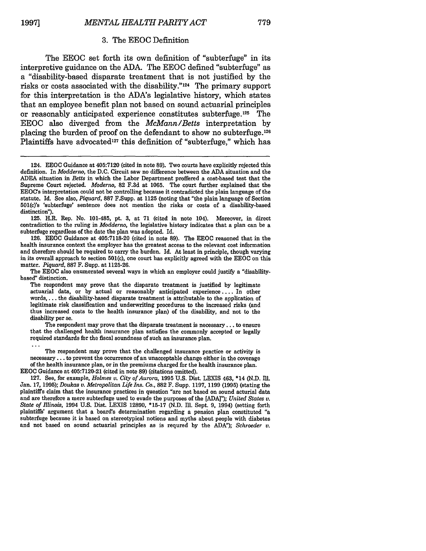#### 3. The EEOC Definition

The EEOC set forth its own definition of "subterfuge" in its interpretive guidance on the ADA. The EEOC defined "subterfuge" as a "disability-based disparate treatment that is not justified by the risks or costs associated with the disability."<sup>124</sup> The primary support for this interpretation is the ADA's legislative history, which states that an employee benefit plan not based on sound actuarial principles or reasonably anticipated experience constitutes subterfuge. 125 The EEOC also diverged from the *McMann/Betts* interpretation by placing the burden of proof on the defendant to show no subterfuge. <sup>126</sup> Plaintiffs have advocated<sup>127</sup> this definition of "subterfuge," which has

125. H.R. Rep. No. 101-485, pt. 3, at 71 (cited in note 104). Moreover, in direct contradiction to the ruling in *Modderno,* the legislative history indicates that a plan can be a subterfuge regardless of the date the plan was adopted. Id.

126. EEOC Guidance at 405:7118-20 (cited in note 89). The EEOC reasoned that in the health insurance context the employer has the greatest access to the relevant cost information and therefore should be required to carry the burden. Id. At least in principle, though varying in its overall approach to section 501(c), one court has explicitly agreed with the EEOC on this matter. *Piquard,* **887** F. Supp. at 1125-26.

The EEOC also enumerated several ways in which an employer could justify a "disabilitybased" distinction.

The respondent may prove that the disparate treatment is justified by legitimate actuarial data, or by actual or reasonably anticipated experience .... In other words.... the disability-based disparate treatment is attributable to the application of legitimate risk classification and underwriting procedures to the increased risks (and thus increased costs to the health insurance plan) of the disability, and not to the disability per se.

The respondent may prove that the disparate treatment is necessary... to ensure that the challenged health insurance plan satisfies the commonly accepted or legally required standards for the fiscal soundness of such an insurance plan.

The respondent may prove that the challenged insurance practice or activity is necessary **...** to prevent the occurrence of an unacceptable change either in the coverage of the health insurance plan, or in the premiums charged for the health insurance plan. **EEOC** Guidance at 405:7120-21 (cited in note **89)** (citations omitted).

127. See, for example, *Holmes v. City of Aurora,* **1995** U.S. Dist. LEXIS 463, \*14 (N.D. Ill. Jan. 17, **1995);** Doukas *v. Metropolitan Life Ins. Co.,* **882** F. Supp. 1197, 1199 (1995) (stating the plaintiffs claim that the insurance practices in question "are not based on sound acturial data and are therefore a mere subterfuge used to evade the purposes of the [ADA]"); *United States v. State of Illinois,* 1994 U.S. Dist. LEXIS **12890, \*15-17** (N.D. Ill. Sept. **9,** 1994) (setting forth plaintiffs' argument that a board's determination regarding a pension plan constituted "a subterfuge because it is based on stereotypical notions and myths about people with diabetes and not based on sound actuarial principles as is requred by the ADA"); *Schroeder v.*

<sup>124.</sup> EEOC Guidance at 405:7120 (cited in note 89). Two courts have explicitly rejected this definition. In *Modderno,* the D.C. Circuit saw no difference between the ADA situation and the ADEA situation in *Betts* in which the Labor Department proffered a cost-based test that the Supreme Court rejected. *Moderno,* 82 F.3d at 1065. The court further explained that the EEOC's interpretation could not be controlling because it contradicted the plain language of the statute. Id. See also, *Piquard,* 887 F.Supp. at 1125 (noting that "the plain language of Section 501(c)'s 'subterfuge' sentence does not mention the risks or costs of a disability-based distinction").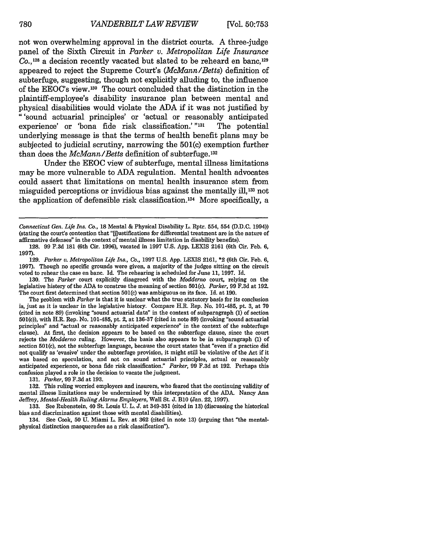not won overwhelming approval in the district courts. A three-judge panel of the Sixth Circuit in *Parker v. Metropolitan Life Insurance* Co.,<sup>128</sup> a decision recently vacated but slated to be reheard en banc,<sup>125</sup> appeared to reject the Supreme Court's *(McMann/Betts)* definition of subterfuge, suggesting, though not explicitly alluding to, the influence of the EEOC's view. 130 The court concluded that the distinction in the plaintiff-employee's disability insurance plan between mental and physical disabilities would violate the ADA if it was not justified by "'sound actuarial principles' or 'actual or reasonably anticipated experience' or 'bona fide risk classification.' **"131** The potential underlying message is that the terms of health benefit plans may be subjected to judicial scrutiny, narrowing the 501(c) exemption further than does the *McMann/Betts* definition of subterfuge.<sup>132</sup>

Under the EEOC view of subterfuge, mental illness limitations may be more vulnerable to ADA regulation. Mental health advocates could assert that limitations on mental health insurance stem from misguided perceptions or invidious bias against the mentally **ill,133** not the application of defensible risk classification.<sup>134</sup> More specifically, a

130. The *Parker* court explicitly disagreed with the *Modderno* court, relying on the legislative history of the ADA to construe the meaning of section 501(c). *Parker,* 99 F.3d at 192. The court first determined that section 501(c) was ambiguous on its face. Id. at 190.

131. *Parker,* 99 F.3d at 193.

132. This ruling worried employers and insurers, who feared that the continuing validity of mental illness limitations may be undermined by this interpretation of the ADA. Nancy Ann Jeffrey, *Mental-Health Ruling Alarms Employers,* Wall St. J. BIO (Jan. 22, 1997).

133. See Rubenstein, 40 St. Louis U. L. J. at 349-351 (cited in 13) (discussing the historical bias and discrimination against those with mental disabilities).

134. See Cook, 50 U. Miami L. Rev. at **362** (cited in note 13) (arguing that "the mentalphysical distinction masquerades as a risk classification").

*Connecticut Gen. Life Ins. Co.,* **18** Mental & Physical Disability L. Rptr. 554, 554 (D.D.C. 1994)) (stating the court's contention that "[j]ustifications for differential treatment are in the nature of affirmative defenses" in the context of mental illness limitation in disability benefits).

<sup>128. 99</sup> F.3d 181 (6th Cir. 1996), vacated in 1997 U.S. App. LEXIS 2161 (6th Cir. Feb. 6, **1997).**

**<sup>129.</sup>** *Parker v. Metropolitan Life Ins., Co.,* **1997 U.S. App.** LEXIS **2161,** \*2 (6th Cir. Feb. 6, 1997). Though no specific grounds were given, a majority of the judges sitting on the circuit voted to rehear the case en banc. Id. The rehearing is scheduled for June 11, 1997. Id.

The problem with *Parker* is that it is unclear what the true statutory basis for its conclusion is, just as it is unclear in the legislative history. Compare H.R. Rep. No. 101-485, pt. 3, at 70 (cited in note 89) (invoking "sound actuarial data" in the context of subparagraph (1) of section 501(c)), with H.R. Rep. No. 101-485, pt. 2, at 136-37 (cited in note **89)** (invoking "sound actuarial principles" and "actual or reasonably anticipated experience" in the context of the subterfuge clause). At first, the decision appears to be based on the subterfuge clause, since the court rejects the *Modderno* ruling. However, the basis also appears to be in subparagraph (1) of section 501(c), not the subterfuge language, because the court states that "even if a practice did not qualify as 'evasive' under the subterfuge provision, it might still be violative of the Act if it was based on speculation, and not on sound actuarial principles, actual or reasonably anticipated experience, or bona fide risk classification." *Parker,* 99 F.3d at 192. Perhaps this confusion played a role in the decision to vacate the judgment.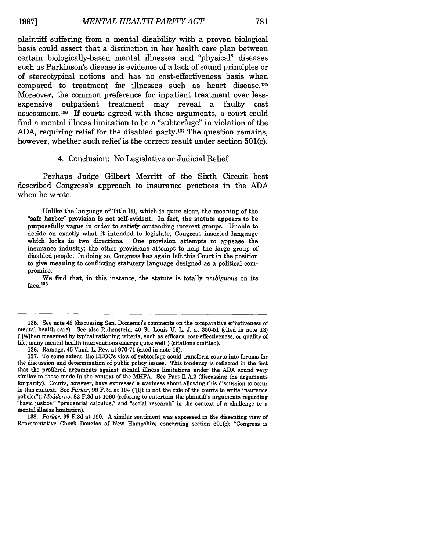plaintiff suffering from a mental disability with a proven biological basis could assert that a distinction in her health care plan between certain biologically-based mental illnesses and "physical" diseases such as Parkinson's disease is evidence of a lack of sound principles or of stereotypical notions and has no cost-effectiveness basis when compared to treatment for illnesses such as heart disease.<sup>135</sup> Moreover, the common preference for inpatient treatment over lessexpensive outpatient treatment may reveal a faulty cost assessment.136 If courts agreed with these arguments, a court could find a mental illness limitation to be a "subterfuge" in violation of the ADA, requiring relief for the disabled party.<sup>137</sup> The question remains, however, whether such relief is the correct result under section 501(c).

#### 4. Conclusion: No Legislative or Judicial Relief

Perhaps Judge Gilbert Merritt of the Sixth Circuit best described Congress's approach to insurance practices in the ADA when he wrote:

Unlike the language of Title III, which is quite clear, the meaning of the "safe harbor" provision is not self-evident. In fact, the statute appears to be purposefully vague in order to satisfy contending interest groups. Unable to decide on exactly what it intended to legislate, Congress inserted language which looks in two directions. One provision attempts to appease the insurance industry; the other provisions attempt to help the large group of disabled people. In doing so, Congress has again left this Court in the position to give meaning to conflicting statutory language designed as a political compromise.

We find that, in this instance, the statute is totally *ambiguous* on its  $face.<sup>138</sup>$ 

**<sup>135.</sup>** See note 42 (discussing Sen. Domenici's comments on the comparative effectiveness of mental health care). See also Rubenstein, 40 St. Louis **U.** L. **J.** at **350-51** (cited in note **13)** ('[W]hen measured **by** typical rationing criteria, such as efficacy, cost-effectiveness, or quality of life, many mental health interventions emerge quite well") (citations omitted).

**<sup>136.</sup>** Ramage, 45 Vand. L. Rev. at **970-71** (cited in note **16).**

<sup>137.</sup> To some extent, the EEOC's view of subterfuge could transform courts into forums for the discussion and determination of public policy issues. This tendency is reflected in the fact that the proffered arguments against mental illness limitations under the **ADA** sound very similar to those made in the context of the MiHPA. See Part II.A.2 (discussing the arguments for parity). Courts, however, have expressed a wariness about allowing this discussion to occur in this context. See *Parker*, 99 F.3d at 194 ("[I]t is not the role of the courts to write insurance policies"); *Modderno,* **82 F.3d** at **1060** (refusing to entertain the plaintiffs arguments regarding "basic justice," "prudential calculus," and "social research" in the context of a challenge to a mental illness limitation).

**<sup>138.</sup>** *Parker,* **99 F.3d** at **190. A** similar sentiment was expressed in the dissenting view of Representative Chuck Douglas of New Hampshire concerning section **501(c):** "Congress is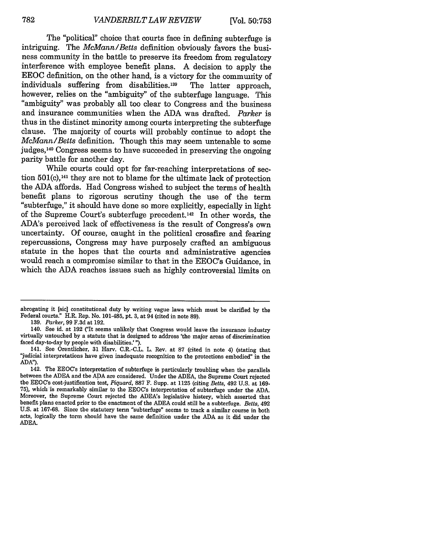The "political" choice that courts face in defining subterfuge is intriguing. The *McMann/Betts* definition obviously favors the business community in the battle to preserve its freedom from regulatory interference with employee benefit plans. A decision to apply the EEOC definition, on the other hand, is a victory for the community of individuals suffering from disabilities.139 The latter approach, however, relies on the "ambiguity" of the subterfuge language. This "ambiguity" was probably all too clear to Congress and the business and insurance communities when the ADA was drafted. *Parker* is thus in the distinct minority among courts interpreting the subterfuge clause. The majority of courts will probably continue to adopt the *McMann/Betts* definition. Though this may seem untenable to some judges,140 Congress seems to have succeeded in preserving the ongoing parity battle for another day.

While courts could opt for far-reaching interpretations of section 501(c),<sup>141</sup> they are not to blame for the ultimate lack of protection the ADA affords. Had Congress wished to subject the terms of health benefit plans to rigorous scrutiny though the use of the term "subterfuge," it should have done so more explicitly, especially in light of the Supreme Court's subterfuge precedent.142 In other words, the ADA's perceived lack of effectiveness is the result of Congress's own uncertainty. Of course, caught in the political crossfire and fearing repercussions, Congress may have purposely crafted an ambiguous statute in the hopes that the courts and administrative agencies would reach a compromise similar to that in the EEOC's Guidance, in which the ADA reaches issues such as highly controversial limits on

**139.** *Parker,* 99 F.3d at 192.

abrogating it [sic] constitutional duty by writing vague laws which must be clarified by the Federal courts." H.R. Rep. No. 101-485, pt. 3, at 94 (cited in note 89).

<sup>140.</sup> See id. at 192 ("It seems unlikely that Congress would leave the insurance industry virtually untouched by a statute that is designed to address 'the major areas of discrimination faced day-to-day by people with disabilities.' ").

<sup>141.</sup> See Orentlicher, 31 Harv. C.R.-C.L. L. Rev. at 87 (cited in note 4) (stating that "judicial interpretations have given inadequate recognition to the protections embodied" in the **ADA").**

<sup>142.</sup> The EEOC's interpretation of subterfuge is particularly troubling when the parallels between the ADEA and the ADA are considered. Under the ADEA, the Supreme Court rejected the EEOC's cost-justification test,  $Piquard$ , 75), which is remarkably similar to the EEOC's interpretation of subterfuge under the ADA. Moreover, the Supreme Court rejected the ADEA's legislative histery, which asserted that benefit plans enacted prior to the enactment of the ADEA could still be a subterfuge. *Betts,* 492 U.S. at 167-68. Since the statutery term "subterfuge" seems to track a similar course in both acts, logically the torm should have the same definition under the ADA as it did under the **ADEA\_**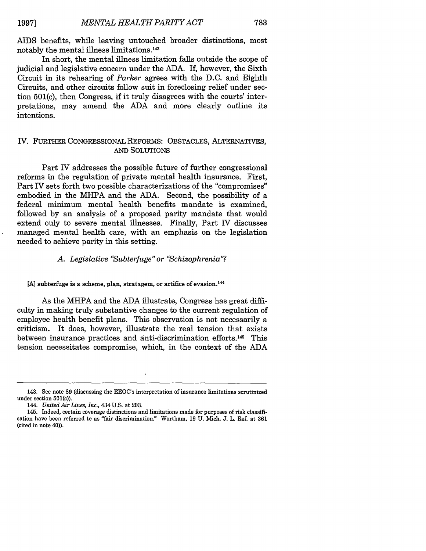AIDS benefits, while leaving untouched broader distinctions, most notably the mental illness limitations.<sup>143</sup>

In short, the mental illness limitation falls outside the scope of judicial and legislative concern under the ADA. If, however, the Sixth Circuit in its rehearing of *Parker* agrees with the D.C. and Eighth Circuits, and other circuits follow suit in foreclosing relief under section 501(c), then Congress, if it truly disagrees with the courts' interpretations, may amend the ADA and more clearly outline its intentions.

#### IV. FURTHER CONGRESSIONAL REFORMS: OBSTACLES, ALTERNATIVES, **AND** SOLUTIONS

Part IV addresses the possible future of further congressional reforms in the regulation of private mental health insurance. First, Part IV sets forth two possible characterizations of the "compromises" embodied in the MHPA and the ADA. Second, the possibility of a federal minimum mental health benefits mandate is examined, followed by an analysis of a proposed parity mandate that would extend only to severe mental illnesses. Finally, Part IV discusses managed mental health care, with an emphasis on the legislation needed to achieve parity in this setting.

#### *A. Legislative "Subterfuge" or "Schizophrenia"?*

[A] subterfuge is a scheme, plan, stratagem, or artifice of evasion.<sup>144</sup>

As the MHPA and the ADA illustrate, Congress has great difficulty in making truly substantive changes to the current regulation of employee health benefit plans. This observation is not necessarily a criticism. It does, however, illustrate the real tension that exists between insurance practices and anti-discrimination efforts.<sup>145</sup> This tension necessitates compromise, which, in the context of the ADA

<sup>143.</sup> See note 89 (discussing the EEOC's interpretation of insurance limitations scrutinized under section 501(c)).

<sup>144.</sup> *United Air Lines, Inc.,* 434 U.S. at 203.

<sup>145.</sup> Indeed, certain coverage distinctions and limitations made for purposes of risk classification have been referred to as "fair discrimination." Wortham, 19 U. Mich. J. L. Ref. at 361 (cited in note 40)).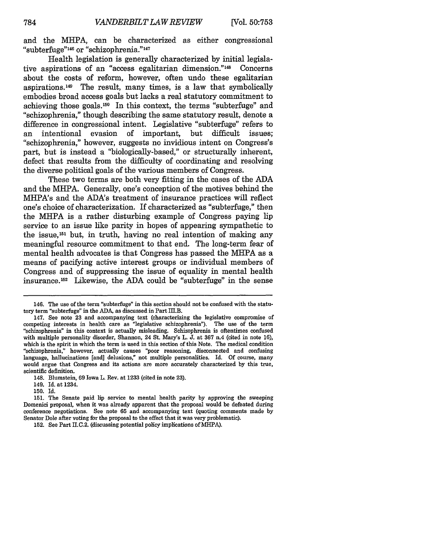and the MHPA, can be characterized as either congressional "subterfuge"<sup>146</sup> or "schizophrenia."<sup>147</sup>

Health legislation is generally characterized by initial legislative aspirations of an "access egalitarian dimension."148 Concerns about the costs of reform, however, often undo these egalitarian aspirations.149 The result, many times, is a law that symbolically embodies broad access goals but lacks a real statutory commitment to achieving those goals. 50 In this context, the terms "subterfuge" and "schizophrenia," though describing the same statutory result, denote a difference in congressional intent. Legislative "subterfuge" refers to an intentional evasion of important, but difficult issues; "schizophrenia," however, suggests no invidious intent on Congress's part, but is instead a "biologically-based," or structurally inherent, defect that results from the difficulty of coordinating and resolving the diverse political goals of the various members of Congress.

These two terms are both very fitting in the cases of the ADA and the MHPA. Generally, one's conception of the motives behind the MHPA's and the ADA's treatment of insurance practices will reflect one's choice of characterization. If characterized as "subterfuge," then the MHPA is a rather disturbing example of Congress paying lip service to an issue like parity in hopes of appearing sympathetic to the issue, 151 but, in truth, having no real intention of making any meaningful resource commitment to that end. The long-term fear of mental health advocates is that Congress has passed the MHPA as a means of pacifying active interest groups or individual members of Congress and of suppressing the issue of equality in mental health insurance.152 Likewise, the ADA could be "subterfuge" in the sense

150. Id.

<sup>146.</sup> The use of the term "subterfuge" in this section should not be confused with the statutory term "subterfuge" in the ADA, as discussed in Part III.B.

<sup>147.</sup> See note 23 and accompanying text (characterizing the legislative compromise of competing interests in health care as 'legislative schizophrenia"). The use of the term "schizophrenia" in this context is actually misleading. Schizophrenia is oftentimes confused with multiple personality disorder, Shannon, 24 St. Mary's L. J. at 367 n.4 (cited in note 16), which is the spirit in which the term is used in this section of this Note. The medical condition "schizophrenia," however, actually causes "poor reasoning, disconnected and confusing language, hallucinations [and] delusions," not multiple personalities. Id. Of course, many would argue that Congress and its actions are more accurately characterized by this true, scientific definition.

<sup>148.</sup> Blumstein, 69 Iowa L. Rev. at 1233 (cited in note 23).

<sup>149.</sup> Id. at 1234.

<sup>151.</sup> The Senate paid lip service to mental health parity by approving the sweeping Domenici proposal, when it was already apparent that the proposal would be defeated during conference negotiations. See note 65 and accompanying text (quoting comments made by Senator Dole after voting for the proposal to the effect that it was very problematic).

<sup>152.</sup> See Part II.C.2. (discussing potential policy implications of MHPA).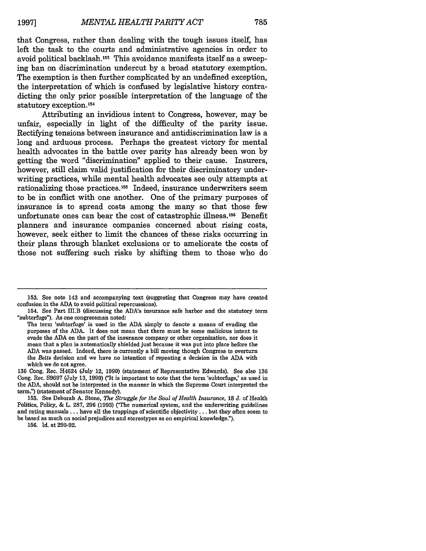that Congress, rather than dealing with the tough issues itself, has left the task to the courts and administrative agencies in order to avoid political backlash.153 This avoidance manifests itself as a sweeping ban on discrimination undercut **by** a broad statutory exemption. The exemption is then further complicated **by** an undefined exception, the interpretation of which is confused **by** legislative history contradicting the only prior possible interpretation of the language of the statutory exception. **<sup>154</sup>**

Attributing an invidious intent to Congress, however, may be unfair, especially in light of the difficulty of the parity issue. Rectifying tensions between insurance and antidiscrimination law is a long and arduous process. Perhaps the greatest victory for mental health advocates in the battle over parity has already been won **by** getting the word "discrimination" applied to their cause. Insurers, however, still claim valid justification for their discriminatory underwriting practices, while mental health advocates see only attempts at rationalizing those practices. 155 Indeed, insurance underwriters seem to be in conflict with one another. One of the primary purposes of insurance is to spread costs among the many so that those few unfortunate ones can bear the cost of catastrophic illness.156 Benefit planners and insurance companies concerned about rising costs, however, seek either to limit the chances of these risks occurring in their plans through blanket exclusions or to ameliorate the costs of those not suffering such risks **by** shifting them to those who do

**<sup>153.</sup>** See note 143 and accompanying text (suggesting that Congress may have created confusion in the **ADA** to avoid political repercussions).

<sup>154.</sup> See Part II.B (discussing the ADA's insurance safe harbor and the statutory term "subterfuge"). As one congressman noted:

The term 'subterfuge' is used in the **ADA** simply to denote a means of evading the purposes of the **ADA.** It does not mean that there must be some malicious intent **to** evade the **ADA** on the part of the insurance company or other organization, nor does it mean that a plan is autematically shielded just because it was put into place before the **ADA** was passed. Indeed, there is currently a bill moving though Congress **to** overturn the *Betts* decision and we have no intention of repeating a decision in the **ADA** with which we do not agree.

**<sup>136</sup>** Cong. Rec. H4624 (July 12, **1990)** (statement of Representative Edwards). See also **136** Cong. Rec. **S9697** (July **13, 1990)** ("It is important to note that the term 'subterfuge,' as used in the **ADA,** should not be interpreted in the manner in which the Supreme Court interpreted the term.") (statement of Senator Kennedy).

**<sup>155.</sup>** See Deborah **A.** Stone, *The Struggle for the Soul of Health Insurance,* **18 J.** of Health Politics, Policy, **&** L. **287, 296 (1993)** (The numerical system, and the underwriting guidelines and rating manuals.., have all the trappings of scientific objectivity **...** but they often seem to be based as much on social prejudices and stereotypes as on empirical knowledge.").

**<sup>156.</sup>** Id. at **290-92.**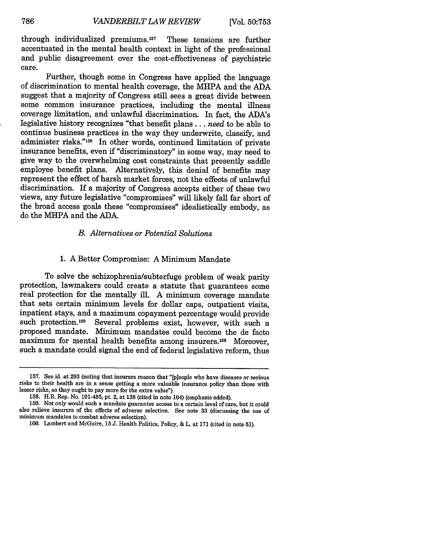through individualized premiums. 157 These tensions are further accentuated in the mental health context in light of the professional and public disagreement over the cost-effectiveness of psychiatric care.

Further, though some in Congress have applied the language of discrimination to mental health coverage, the MHPA and the ADA suggest that a majority of Congress still sees a great divide between some common insurance practices, including the mental illness coverage limitation, and unlawful discrimination. In fact, the ADA's legislative history recognizes "that benefit plans.., *need* to be able to continue business practices in the way they underwrite, classify, and administer risks."<sup>158</sup> In other words, continued limitation of private insurance benefits, even if "discriminatory" in some way, may need to give way to the overwhelming cost constraints that presently saddle employee benefit plans. Alternatively, this denial of benefits may represent the effect of harsh market forces, not the effects of unlawful discrimination. If a majority of Congress accepts either of these two views, any future legislative "compromises" will likely fall far short of the broad access goals these "compromises" idealistically embody, as do the MHPA and the ADA.

#### *B. Alternatives or Potential Solutions*

#### 1. A Better Compromise: A Minimum Mandate

To solve the schizophrenia/subterfuge problem of weak parity protection, lawmakers could create a statute that guarantees some real protection for the mentally ill. A minimum coverage mandate that sets certain minimum levels for dollar caps, outpatient visits, inpatient stays, and a maximum copayment percentage would provide such protection.<sup>159</sup> Several problems exist, however, with such a proposed mandate. Minimum mandates could become the de facto maximum for mental health benefits among insurers.<sup>160</sup> Moreover, such a mandate could signal the end of federal legislative reform, thus

<sup>157.</sup> See id. at 293 (noting that insurers reason that "[p]eople who have diseases or serious risks to their health are in a sense getting a more valuable insurance policy than those with lesser risks, so they ought to pay more for the extra value").

<sup>158.</sup> H.R. Rep. No. 101-485, pt. 2, at 138 (cited in note 104) (emphasis added).

<sup>159.</sup> Not only would such a mandate guarantee access to a certain level of care, but it could also relieve insurers of the effects of adverse selection. See note 33 (discussing the use of minimum mandates to combat adverse selection).

<sup>160.</sup> Lambert and McGuire, 15 J. Health Politics, Policy, & L. at 171 (cited in note 51).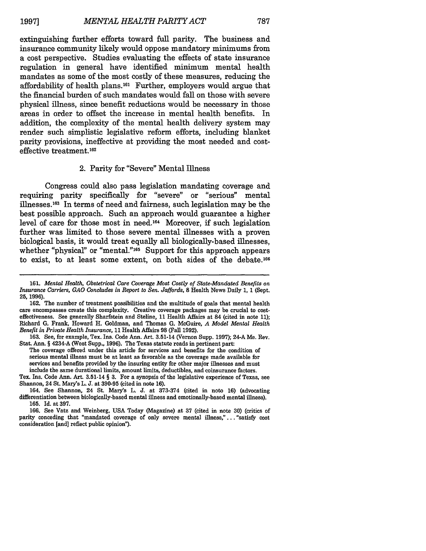extinguishing further efforts toward full parity. The business and insurance community likely would oppose mandatory minimums from a cost perspective. Studies evaluating the effects of state insurance regulation in general have identified minimum mental health mandates as some of the most costly of these measures, reducing the affordability of health plans.161 Further, employers would argue that the financial burden of such mandates would fall on those with severe physical illness, since benefit reductions would be necessary in those areas in order to offset the increase in mental health benefits. In addition, the complexity of the mental health delivery system may render such simplistic legislative reform efforts, including blanket parity provisions, ineffective at providing the most needed and costeffective treatment. <sup>162</sup>

#### 2. Parity for "Severe" Mental Illness

Congress could also pass legislation mandating coverage and requiring parity specifically for "severe" or "serious" mental illnesses. 163 In terms of need and fairness, such legislation may be the best possible approach. Such an approach would guarantee a higher level of care for those most in need.164 Moreover, if such legislation further was limited to those severe mental illnesses with a proven biological basis, it would treat equally all biologically-based illnesses, whether "physical" or "mental."<sup>165</sup> Support for this approach appears to exist, to at least some extent, on both sides of the debate.<sup>166</sup>

Tex. Ins. Code Ann. Art. 3.51-14 **§ 3.** For a synopsis of the legislative experience of Texas, see Shannon, 24 St. Mary's L. **J.** at **390-95** (cited in note **16).**

**<sup>161.</sup>** *Mental Health, Obstetrical Care Coverage Most Costly of State-Mandated Benefits on Insurance Carriers, GAO Concludes in Report to Sen. Jaffords,* **8** Health News Daily **1, 1** (Sept. **25, 1996).**

**<sup>162.</sup>** The number of treatment possibilities and the multitude of goals that mental health care encompasses create this complexity. Creative coverage packages may be crucial to costeffectiveness. See generally Sharfstein and Stoline, **11** Health Affairs at 84 (cited in note **11);** Richard **G.** Frank, Howard H. Goldman, and Thomas **G.** McGuire, *A Model Mental Health Benefit in Private Health Insurance,* **11** Health Affairs **98** (Fall **1992).**

**<sup>163.</sup>** See, for example, Tex. Ins. Code Ann. Art. 3.51-14 (Vernon Supp. **1997);** 24-A Me. Rev. Stat. Ann. **§** 4234-A (West Supp., **1996).** The Texas statute reads in pertinent part:

The coverage offered under this article for services and benefits for the condition of serious mental illness must be at least as favorable as the coverage made available for services and benefits provided **by** the insuring entity for other major illnesses and must include the same durational limits, amount limits, deductibles, and coinsurance factors.

<sup>164.</sup> See Shannon, 24 St. Mary's L. **J.** at **373-374** (cited in note **16)** (advocating differentiation between biologically-based mental illness and emotionally-based mental illness). **165. Id.** at **397.**

**<sup>166.</sup>** See Vatz and Weinberg, **USA** Today (Magazine) at **37** (cited in note **30)** (critics of parity conceding that "mandated coverage of only severe mental illness,"... "satisfy cost consideration [and] reflect public opinion").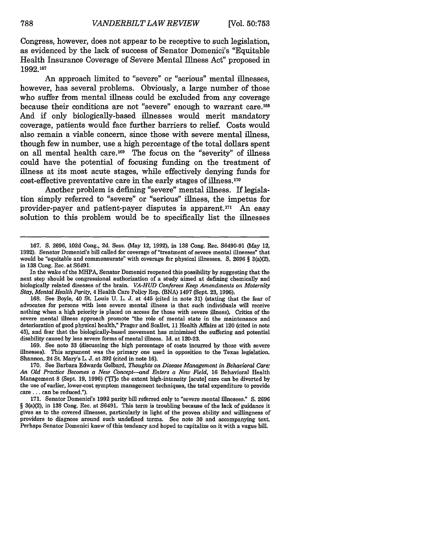Congress, however, does not appear to be receptive to such legislation, as evidenced by the lack of success of Senator Domenici's "Equitable Health Insurance Coverage of Severe Mental Illness Act" proposed in **1992.167**

An approach limited to "severe" or "serious" mental illnesses, however, has several problems. Obviously, a large number of those who suffer from mental illness could be excluded from any coverage because their conditions are not "severe" enough to warrant care.168 And if only biologically-based illnesses would merit mandatory coverage, patients would face further barriers to relief. Costs would also remain a viable concern, since those with severe mental illness, though few in number, use a high percentage of the total dollars spent on all mental health care. 169 The focus on the "severity" of illness could have the potential of focusing funding on the treatment of illness at its most acute stages, while effectively denying funds for cost-effective preventative care in the early stages of illness.170

Another problem is defining "severe" mental illness. If legislation simply referred to "severe" or "serious" illness, the impetus for provider-payer and patient-payer disputes is apparent.<sup>171</sup> An easy solution to this problem would be to specifically list the illnesses

168. See Boyle, 40 St. Louis U. L. J. at 445 (cited in note 31) (stating that the fear of advocates for persons with less severe mental illness is that such individuals will receive nothing when a high priority is placed on access for those with severe illness). Critics of the severe mental illness approach promote "the role of mental state in the maintenance and deterioration of good physical health," Prager and Scallet, 11 Health Affairs at 120 (cited in note 45), and fear that the biologically-based movement has minimized the suffering and potential disability caused by less severe forms of mental illness. Id. at 120-23.

169. See note 33 (discussing the high percentage of costs incurred by those with severe illnesses). This argument was the primary one used in opposition to the Texas legislation. Shannon, 24 St. Mary's L. J. at 392 (cited in note 16).

170. See Barbara Edwards Gelbard, *Thoughts on Disease Management in Behavioral Care An Old Practice Becomes a New Concept-and Enters a New Field,* 16 Behavioral Health Management 8 (Sept. 19, 1996) ("[To the extent high-intensity [acute] care can be diverted by the use of earlier, lower-cost symptom management techniques, the tetal expenditure to provide care **...** can be reduced.").

171. Senator Domenici's 1992 parity bill referred only to "severe mental illnesses." **S.** 2696 § 3(a)(2), in 138 Cong. Rec. at S6491. This term is troubling because of the lack of guidance it gives as to the covered illnesses, particularly in light of the proven ability and willingness of providers to diagnose around such undefined torms. See note 30 and accompanying text. Perhaps Senator Domenici knew of this tendency and hoped to capitalize on it with a vague bill.

<sup>167.</sup> **S.** 2696, 102d Cong., 2d. Sess. (May 12, 1992), in 138 Cong. Rec. S6490-91 (May 12, 1992). Senator Domenici's bill called for coverage of "treatment of severe mental illnesses" that would be "equitable and commensurate" with coverage for physical illnesses. S. 2696 § 3(a)(2), in 138 Cong. Rec. at S6491.

In the wake of the MHPA, Senator Domenici reopened this possibility by suggesting that the next step should be congressional authorization of a study aimed at defining chemically and biologically related diseases of the brain. *VA.HUD Conferees Keep Amendments on Maternity Stay, Mental Health Parity,* 4 Health Care Policy Rep. (BNA) 1497 (Sept. 23, 1996).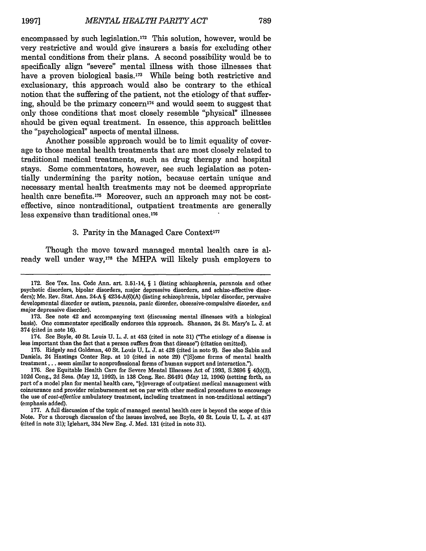encompassed **by** such legislation.172 This solution, however, would be very restrictive and would give insurers a basis for excluding other mental conditions from their plans. **A** second possibility would be to specifically align "severe" mental illness with those illnesses that have a proven biological basis.<sup>173</sup> While being both restrictive and exclusionary, this approach would also be contrary to the ethical notion that the suffering of the patient, not the etiology of that suffering, should be the primary concern<sup>174</sup> and would seem to suggest that only those conditions that most closely resemble "physical" illnesses should be given equal treatment. In essence, this approach belittles the "psychological" aspects of mental illness.

Another possible approach would be to limit equality of coverage to those mental health treatments that are most closely related to traditional medical treatments, such as drug therapy and hospital stays. Some commentators, however, see such legislation as potentially undermining the parity notion, because certain unique and necessary mental health treatments may not be deemed appropriate health care benefits.<sup>175</sup> Moreover, such an approach may not be costeffective, since nontraditional, outpatient treatments are generally less expensive than traditional ones.<sup>176</sup>

#### 3. Parity in the Managed Care Context<sup>177</sup>

Though the move toward managed mental health care is already well under way,<sup>178</sup> the MHPA will likely push employers to

**175.** Ridgely and Goldman, 40 St. Louis **U.** L. **J.** at 428 (cited in note **9).** See also Sabin and Daniels, 24 Hastings Center Rep. at **10** (cited in note **29)** ("[S]ome forms of mental health treatment... seem similar to nonprofessional forms of human support and interaction.").

**176.** See Equitable Health Care for Severe Mental Illnesses Act of **1993, S.2696 §** 4(b)(3), **102d** Cong., **2d** Sess. (May 12, **1992),** in **138** Cong. Rec. **S6491** (May 12, **1996)** (setting forth, as part of a model plan for mental health care, "[c]overage of outpatient medical management with coinsurance and provider reimbursement set on par with other medical procedures to encourage the use of *cost-effective* ambulatory treatment, including treatment in non-traditional settings") (emphasis added).

**177. A** full discussion of the topic of managed mental health care is beyond the scope of this Note. For a thorough discussion of the issues involved, see Boyle, 40 St. Louis **U.** L. **J.** at 437 (cited in note **31);** Iglehart, 334 New Eng. **J.** Med. **131** (cited in note **31).**

**<sup>172.</sup>** See Tex. Ins. Code Ann. art. 3.51-14, **§ 1** (listing schizophrenia, paranoia and other psychotic disorders, bipolar disorders, major depressive disorders, and schizo-affective disorders); Me. Rev. Stat. Ann. 24-A **§** 4234-A(6)(A) (listing schizophrenia, bipolar disorder, pervasive developmental disorder or autism, paranoia, panic disorder, obsessive-compulsive disorder, and major depressive disorder).

**<sup>173.</sup>** See note 42 and accompanying text (discussing mental illnesses with a biological basis). One commentator specifically endorses this approach. Shannon, 24 St. Mary's L. **J.** at 374 (cited in note **16).**

<sup>174.</sup> See Boyle, 40 St. Louis **U.** L. **J.** at 453 (cited in note **31)** ("The etiology of a disease is less important than the fact that a person suffers from that disease") (citation omitted).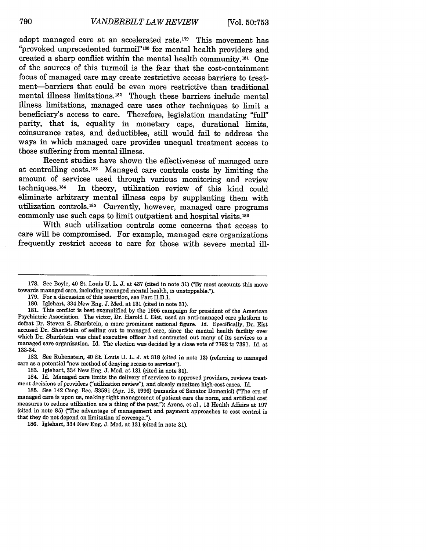adopt managed care at an accelerated rate. 179 This movement has "provoked unprecedented **turmoil"180** for mental health providers and created a sharp conflict within the mental health community.<sup>181</sup> One of the sources of this turmoil is the fear that the cost-containment focus of managed care may create restrictive access barriers to treatment-barriers that could be even more restrictive than traditional mental illness limitations.<sup>182</sup> Though these barriers include mental illness limitations, managed care uses other techniques to limit a beneficiary's access to care. Therefore, legislation mandating **"fill"** parity, that is, equality in monetary caps, durational limits, coinsurance rates, and deductibles, still would fail to address the ways in which managed care provides unequal treatment access to those suffering from mental illness.

Recent studies have shown the effectiveness of managed care at controlling costs.<sup>183</sup> Managed care controls costs by limiting the amount of services used through various monitoring and review techniques. 84 In theory, utilization review of this kind could eliminate arbitrary mental illness caps **by** supplanting them with utilization controls.185 Currently, however, managed care programs commonly use such caps to limit outpatient and hospital visits.186

With such utilization controls come concerns that access to care will be compromised. For example, managed care organizations frequently restrict access to care for those with severe mental ill-

**181.** This conflict is best exemplified **by** the **1995** campaign for president of the American Psychiatric Association. The victor, Dr. Harold **I.** Eist, used an anti-managed care platform to defeat Dr. Steven **S.** Sharfstein, a more prominent national figure. **Id.** Specifically, Dr. Eist accused Dr. Sharfstein of selling out to managed care, since the mental health facility over which Dr. Sharfstein was chief executive officer had contracted out many of its services to a managed care organization. **Id.** The election was decided **by** a close vote of **7762** to **7391.** Id. at 133-34.

**182.** See Rubenstein, 40 St. Louis **U.** L. **J.** at **318** (cited in note **13)** (referring to managed care as a potential "new method of denying access to services").

**183.** Iglehart, 334 New Eng. **J.** Med. at **131** (cited in note **31).**

184. Id. Managed care limits the delivery of services to approved providers, reviews treatment decisions of providers ("utilization review"), and closely monitors high-cost cases. Id.

**185.** See 142 Cong. Rec. **S3591** (Apr. **18, 1996)** (remarks of Senator Domenici) ("The era of managed care is upon us, making tight management of patient care the norm, and artificial cost measures to reduce utilization are a thing of the past."); Arons, et al., **13** Health Affairs at **<sup>197</sup>** (cited in note **85)** ("The advantage of management and payment approaches to cost control is that they do not depend on limitation of coverage.").

**186.** Iglehart, 334 New Eng. **J.** Med. at **131** (cited in note **31).**

**<sup>178.</sup>** See Boyle, 40 St. Louis **U.** L. **J.** at 437 (cited in note **31) C'By** most accounts this move towards managed care, including managed mental health, is unstoppable.').

**<sup>179.</sup>** For a discussion of this assertion, see Part II.D.1.

**<sup>180.</sup>** Iglehart, 334 New Eng. **J.** Med. at **131** (cited in note **31).**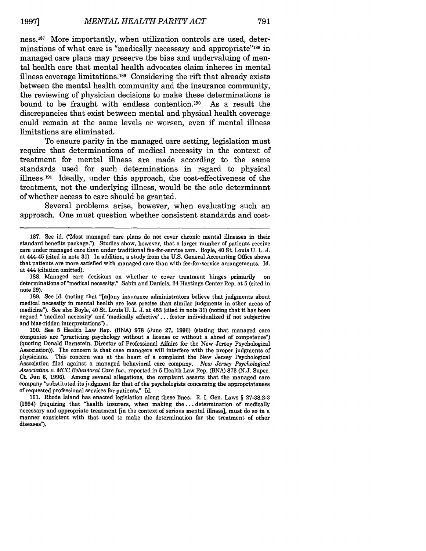ness. 187 More importantly, when utilization controls are used, determinations of what care is "medically necessary and appropriate"<sup>188</sup> in managed care plans may preserve the bias and undervaluing of mental health care that mental health advocates claim inheres in mental illness coverage limitations.<sup>189</sup> Considering the rift that already exists between the mental health community and the insurance community, the reviewing of physician decisions to make these determinations is bound to be fraught with endless contention. 190 As a result the discrepancies that exist between mental and physical health coverage could remain at the same levels or worsen, even if mental illness limitations are eliminated.

To ensure parity in the managed care setting, legislation must require that determinations of medical necessity in the context of treatment for mental illness are made according to the same standards used for such determinations in regard to physical illness.<sup>191</sup> Ideally, under this approach, the cost-effectiveness of the treatment, not the underlying illness, would be the sole determinant of whether access to care should be granted.

Several problems arise, however, when evaluating such an approach. One must question whether consistent standards and cost-

**<sup>187.</sup>** See id. ('Most managed care plans do not cover chronic mental illnesses in their standard benefits package."). Studies show, however, that a larger number of patients receive care under managed care than under traditional fee-for-service care. Boyle, 40 St. Louis U. L. J. at 444-45 (cited in note 31). In addition, a study from the U.S. General Accounting Office shows that patients are more satisfied with managed care than with fee-for-service arrangements. Id. at 444 (citation omitted).<br>188. Managed care decisions on whether te cover treatment hinges primarily

<sup>188.</sup> Managed care decisions on whether te cover treatment hinges primarily on determinations of "medical necessity." Sabin and Daniels, 24 Hastings Center Rep. at 5 (cited in note **29).**

**<sup>189.</sup>** See id. (noting that "[m]any insurance administrators believe that judgments about medical necessity in mental health are less precise than similar judgments in other areas of medicine"). See also Boyle, 40 St. Louis **U.** L. **J.** at 453 (cited in note **31)** (noting that it has been argued "'medical necessity' and 'medically effective'.., foster individualized if not subjective and bias-ridden interpretations").

**<sup>190.</sup>** See **5** Health Law Rep. **(BNA) 978** (June **27, 1996)** (stating that managed care companies are "practicing psychology without a license or without a shred of competence") (quoting Donald Bernstein, Director of Professional Affairs for the New Jersey Psychological Association)). The concern is that case managers **will** interfere with the proper judgments of physicians. This concern was at the heart of a complaint the New Jersey Psychological Association filed against a managed behavioral care company. *New Jersey Psychological Association v. MCC Behavioral Care Inc.,* reported in 5 Health Law Rep. (BNA) 873 (N.J. Super. Ct. Jun 6, 1996). Among several allegations, the complaint asserts that the managed care company "substituted its judgment for that of the psychologists concerning the appropriateness of requested professional services for patients." Id.

<sup>191.</sup> Rhode Island has enacted legislation along these lines. R. I. Gen. Laws § 27-38.2-3 (1994) (requiring that "health insurers, when making the **...** determination of medically necessary and appropriate treatment [in the context of serious mental illness], must do so in a manner consistent with that used to make the determination for the treatment of other diseases").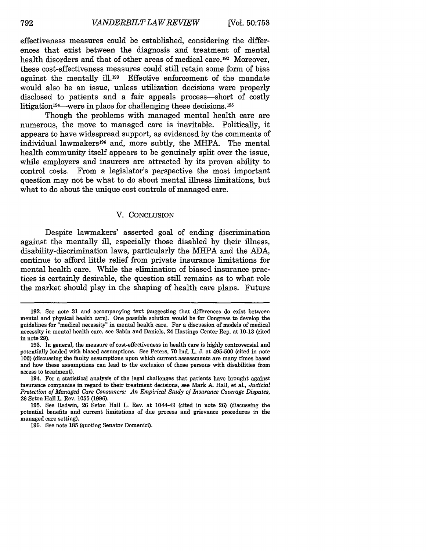effectiveness measures could be established, considering the differences that exist between the diagnosis and treatment of mental health disorders and that of other areas of medical care.<sup>192</sup> Moreover, these cost-effectiveness measures could still retain some form of bias against the mentally ill.<sup>193</sup> Effective enforcement of the mandate would also be an issue, unless utilization decisions were properly disclosed to patients and a fair appeals process-short of costly litigation<sup>194</sup>—were in place for challenging these decisions.<sup>195</sup>

Though the problems with managed mental health care are numerous, the move to managed care is inevitable. Politically, it appears to have widespread support, as evidenced by the comments of individual lawmakers<sup>196</sup> and, more subtly, the MHPA. The mental health community itself appears to be genuinely split over the issue, while employers and insurers are attracted by its proven ability to control costs. From a legislator's perspective the most important question may not be what to do about mental illness limitations, but what to do about the unique cost controls of managed care.

#### V. CONCLUSION

Despite lawmakers' asserted goal of ending discrimination against the mentally ill, especially those disabled by their illness, disability-discrimination laws, particularly the MHPA and the ADA, continue to afford little relief from private insurance limitations for mental health care. While the elimination of biased insurance practices is certainly desirable, the question still remains as to what role the market should play in the shaping of health care plans. Future

<sup>192.</sup> See note 31 and accompanying text (suggesting that differences do exist between mental and physical health care). One possible solution would be for Congress to develop the guidelines for "medical necessity" in mental health care. For a discussion of models of medical necessity in mental health care, see Sabin and Daniels, 24 Hastings Center Rep. at 10-13 (cited in note 29).

<sup>193.</sup> In general, the measure of cost-effectiveness in health care is highly controversial and potentially loaded with biased assumptions. See Peters, 70 Ind. L. J. at 495-500 (cited in note 100) (discussing the faulty assumptions upon which current assessments are many times based and how these assumptions can lead to the exclusion of those persons with disabilities from access to treatment).

<sup>194.</sup> For a statistical analysis of the legal challenges that patients have brought against insurance companies in regard to their treatment decisions, see Mark **A.** Hall, et al., *Judicial Protection of Managed Care Consumers: An Empirical Study of Insurance Coverage Disputes,* 26 Seton Hall L. Rev. 1055 (1996).

<sup>195.</sup> See Redwin, 26 Seton Hall L. Rev. at 1044-49 (cited in note 26) (discussing the potential benefits and current limitations of due process and grievance procedures in the managed care setting).

<sup>196.</sup> See note 185 (quoting Senator Domenici).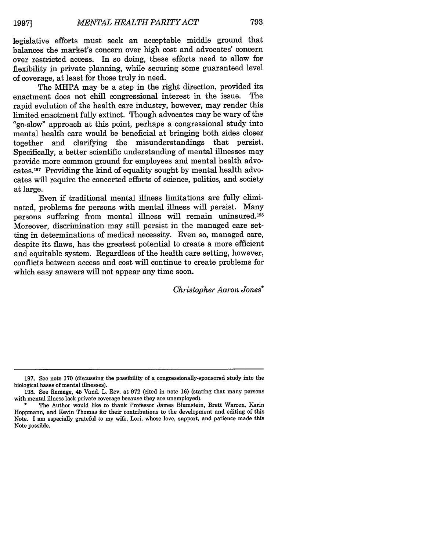legislative efforts must seek an acceptable middle ground that balances the market's concern over high cost and advocates' concern over restricted access. In so doing, these efforts need to allow for flexibility in private planning, while securing some guaranteed level of coverage, at least for those truly in need.

The MHPA may be a step in the right direction, provided its enactment does not chill congressional interest in the issue. The rapid evolution of the health care industry, however, may render this limited enactment fully extinct. Though advocates may be wary of the "go-slow" approach at this point, perhaps a congressional study into mental health care would be beneficial at bringing both sides closer together and clarifying the misunderstandings that persist. Specifically, a better scientific understanding of mental illnesses may provide more common ground for employees and mental health advocates. 197 Providing the kind of equality sought by mental health advocates will require the concerted efforts of science, politics, and society at large.

Even if traditional mental illness limitations are fully eliminated, problems for persons with mental illness will persist. Many persons suffering from mental illness will remain uninsured.198 Moreover, discrimination may still persist in the managed care setting in determinations of medical necessity. Even so, managed care, despite its flaws, has the greatest potential to create a more efficient and equitable system. Regardless of the health care setting, however, conflicts between access and cost will continue to create problems for which easy answers will not appear any time soon.

*Christopher Aaron Jones\**

<sup>197.</sup> See note 170 (discussing the possibility of a congressionally-sponsored study into the biological bases of mental illnesses).

<sup>198.</sup> See Ramage, 45 Vand. L. Rev. at 972 (cited in note 16) (stating that many persons with mental illness lack private coverage because they are unemployed).

The Author would like to thank Professor James Blumstein, Brett Warren, Karin Hoppmann, and Kevin Thomas for their contributions to the development and editing of this Note. I am especially grateful to my wife, Lori, whose love, support, and patience made this Note possible.